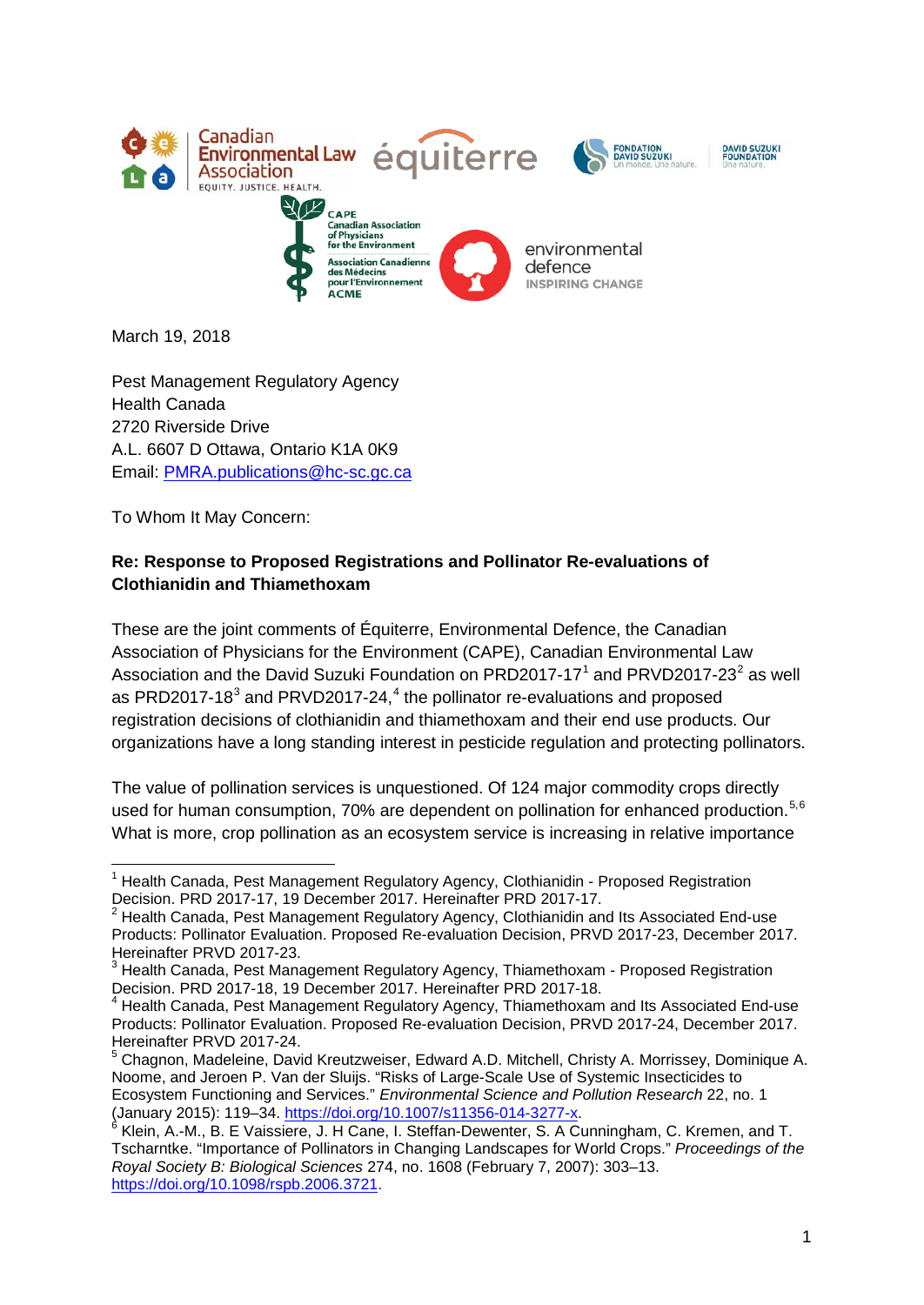

March 19, 2018

Pest Management Regulatory Agency Health Canada 2720 Riverside Drive A.L. 6607 D Ottawa, Ontario K1A 0K9 Email: [PMRA.publications@hc-sc.gc.ca](mailto:PMRA.publications@hc-sc.gc.ca)

To Whom It May Concern:

### **Re: Response to Proposed Registrations and Pollinator Re-evaluations of Clothianidin and Thiamethoxam**

These are the joint comments of Équiterre, Environmental Defence, the Canadian Association of Physicians for the Environment (CAPE), Canadian Environmental Law Association and the David Suzuki Foundation on PRD20[1](#page-0-0)7-17<sup>1</sup> and PRVD[2](#page-0-1)017-23<sup>2</sup> as well as PRD2017-18 $3$  and PRVD2017-2[4](#page-0-3), $4$  the pollinator re-evaluations and proposed registration decisions of clothianidin and thiamethoxam and their end use products. Our organizations have a long standing interest in pesticide regulation and protecting pollinators.

The value of pollination services is unquestioned. Of 124 major commodity crops directly used for human consumption, 70% are dependent on pollination for enhanced production.<sup>[5](#page-0-4),[6](#page-0-5)</sup> What is more, crop pollination as an ecosystem service is increasing in relative importance

<span id="page-0-0"></span><sup>&</sup>lt;sup>1</sup> Health Canada, Pest Management Regulatory Agency, Clothianidin - Proposed Registration Decision. PRD 2017-17, 19 December 2017. Hereinafter PRD 2017-17.

<span id="page-0-1"></span> $2$  Health Canada, Pest Management Regulatory Agency, Clothianidin and Its Associated End-use Products: Pollinator Evaluation. Proposed Re-evaluation Decision, PRVD 2017-23, December 2017. Hereinafter PRVD 2017-23.

<span id="page-0-2"></span><sup>3</sup> Health Canada, Pest Management Regulatory Agency, Thiamethoxam - Proposed Registration Decision. PRD 2017-18, 19 December 2017. Hereinafter PRD 2017-18.

<span id="page-0-3"></span><sup>&</sup>lt;sup>4</sup> Health Canada, Pest Management Regulatory Agency, Thiamethoxam and Its Associated End-use Products: Pollinator Evaluation. Proposed Re-evaluation Decision, PRVD 2017-24, December 2017. Hereinafter PRVD 2017-24.

<span id="page-0-4"></span><sup>5</sup> Chagnon, Madeleine, David Kreutzweiser, Edward A.D. Mitchell, Christy A. Morrissey, Dominique A. Noome, and Jeroen P. Van der Sluijs. "Risks of Large-Scale Use of Systemic Insecticides to Ecosystem Functioning and Services." *Environmental Science and Pollution Research* 22, no. 1

<span id="page-0-5"></span>Klein, A.-M., B. E Vaissiere, J. H Cane, I. Steffan-Dewenter, S. A Cunningham, C. Kremen, and T. Tscharntke. "Importance of Pollinators in Changing Landscapes for World Crops." *Proceedings of the Royal Society B: Biological Sciences* 274, no. 1608 (February 7, 2007): 303–13. [https://doi.org/10.1098/rspb.2006.3721.](https://doi.org/10.1098/rspb.2006.3721)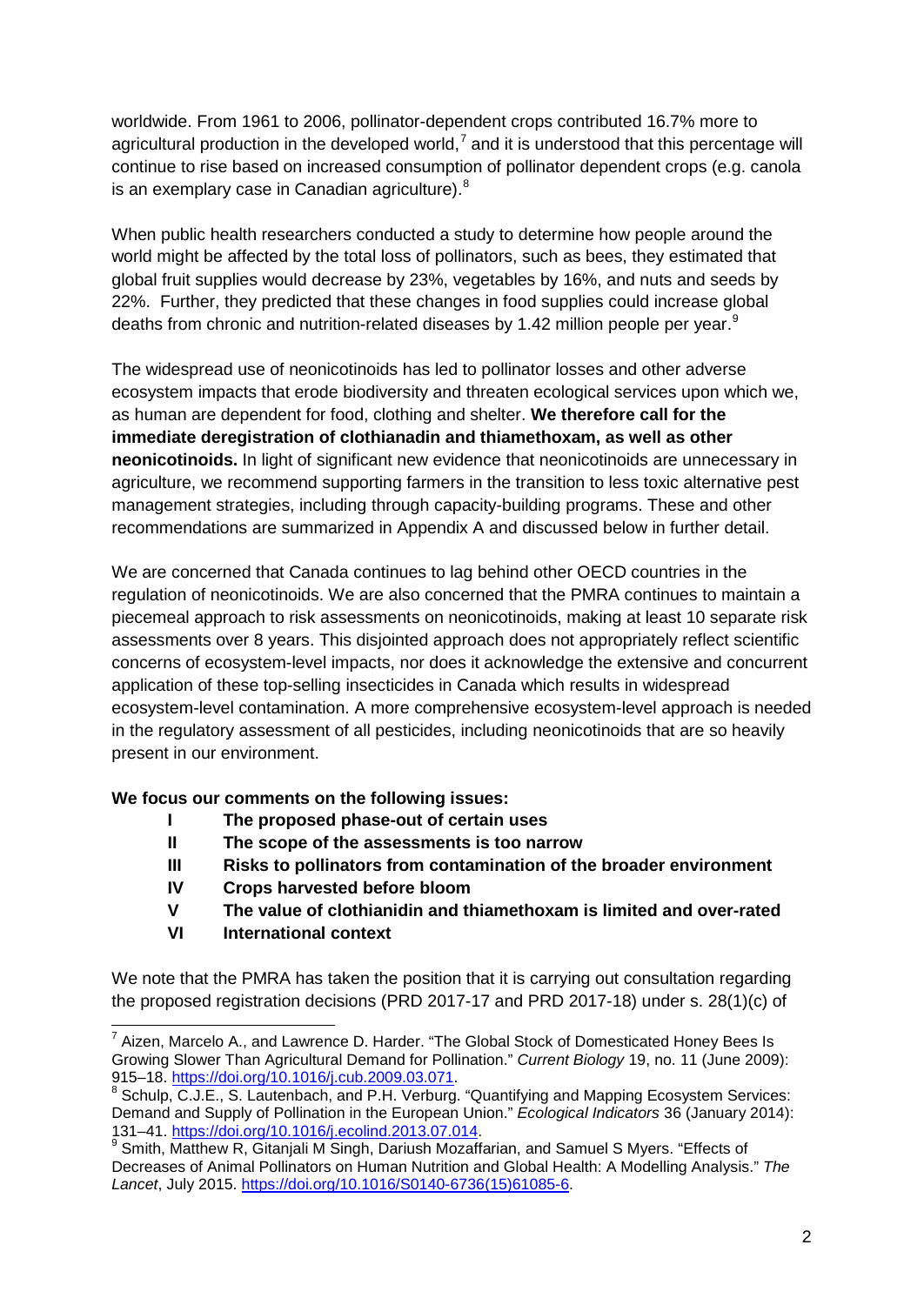worldwide. From 1961 to 2006, pollinator-dependent crops contributed 16.7% more to agricultural production in the developed world,<sup>[7](#page-1-0)</sup> and it is understood that this percentage will continue to rise based on increased consumption of pollinator dependent crops (e.g. canola is an exemplary case in Canadian agriculture).<sup>[8](#page-1-1)</sup>

When public health researchers conducted a study to determine how people around the world might be affected by the total loss of pollinators, such as bees, they estimated that global fruit supplies would decrease by 23%, vegetables by 16%, and nuts and seeds by 22%. Further, they predicted that these changes in food supplies could increase global deaths from chronic and nutrition-related diseases by 1.42 million people per year.<sup>[9](#page-1-2)</sup>

The widespread use of neonicotinoids has led to pollinator losses and other adverse ecosystem impacts that erode biodiversity and threaten ecological services upon which we, as human are dependent for food, clothing and shelter. **We therefore call for the immediate deregistration of clothianadin and thiamethoxam, as well as other neonicotinoids.** In light of significant new evidence that neonicotinoids are unnecessary in agriculture, we recommend supporting farmers in the transition to less toxic alternative pest management strategies, including through capacity-building programs. These and other recommendations are summarized in Appendix A and discussed below in further detail.

We are concerned that Canada continues to lag behind other OECD countries in the regulation of neonicotinoids. We are also concerned that the PMRA continues to maintain a piecemeal approach to risk assessments on neonicotinoids, making at least 10 separate risk assessments over 8 years. This disjointed approach does not appropriately reflect scientific concerns of ecosystem-level impacts, nor does it acknowledge the extensive and concurrent application of these top-selling insecticides in Canada which results in widespread ecosystem-level contamination. A more comprehensive ecosystem-level approach is needed in the regulatory assessment of all pesticides, including neonicotinoids that are so heavily present in our environment.

**We focus our comments on the following issues:**

- **I The proposed phase-out of certain uses**
- **II The scope of the assessments is too narrow**
- **III Risks to pollinators from contamination of the broader environment**
- **IV Crops harvested before bloom**
- **V The value of clothianidin and thiamethoxam is limited and over-rated**
- **VI International context**

We note that the PMRA has taken the position that it is carrying out consultation regarding the proposed registration decisions (PRD 2017-17 and PRD 2017-18) under s. 28(1)(c) of

<span id="page-1-0"></span> $7$  Aizen, Marcelo A., and Lawrence D. Harder. "The Global Stock of Domesticated Honey Bees Is Growing Slower Than Agricultural Demand for Pollination." *Current Biology* 19, no. 11 (June 2009):<br>915–18. https://doi.org/10.1016/j.cub.2009.03.071.

<span id="page-1-1"></span><sup>&</sup>lt;sup>8</sup> Schulp, C.J.E., S. Lautenbach, and P.H. Verburg. "Quantifying and Mapping Ecosystem Services: Demand and Supply of Pollination in the European Union." *Ecological Indicators* 36 (January 2014):

<span id="page-1-2"></span><sup>&</sup>lt;sup>9</sup> Smith, Matthew R, Gitanjali M Singh, Dariush Mozaffarian, and Samuel S Myers. "Effects of Decreases of Animal Pollinators on Human Nutrition and Global Health: A Modelling Analysis." *The Lancet*, July 2015. [https://doi.org/10.1016/S0140-6736\(15\)61085-6.](https://doi.org/10.1016/S0140-6736(15)61085-6)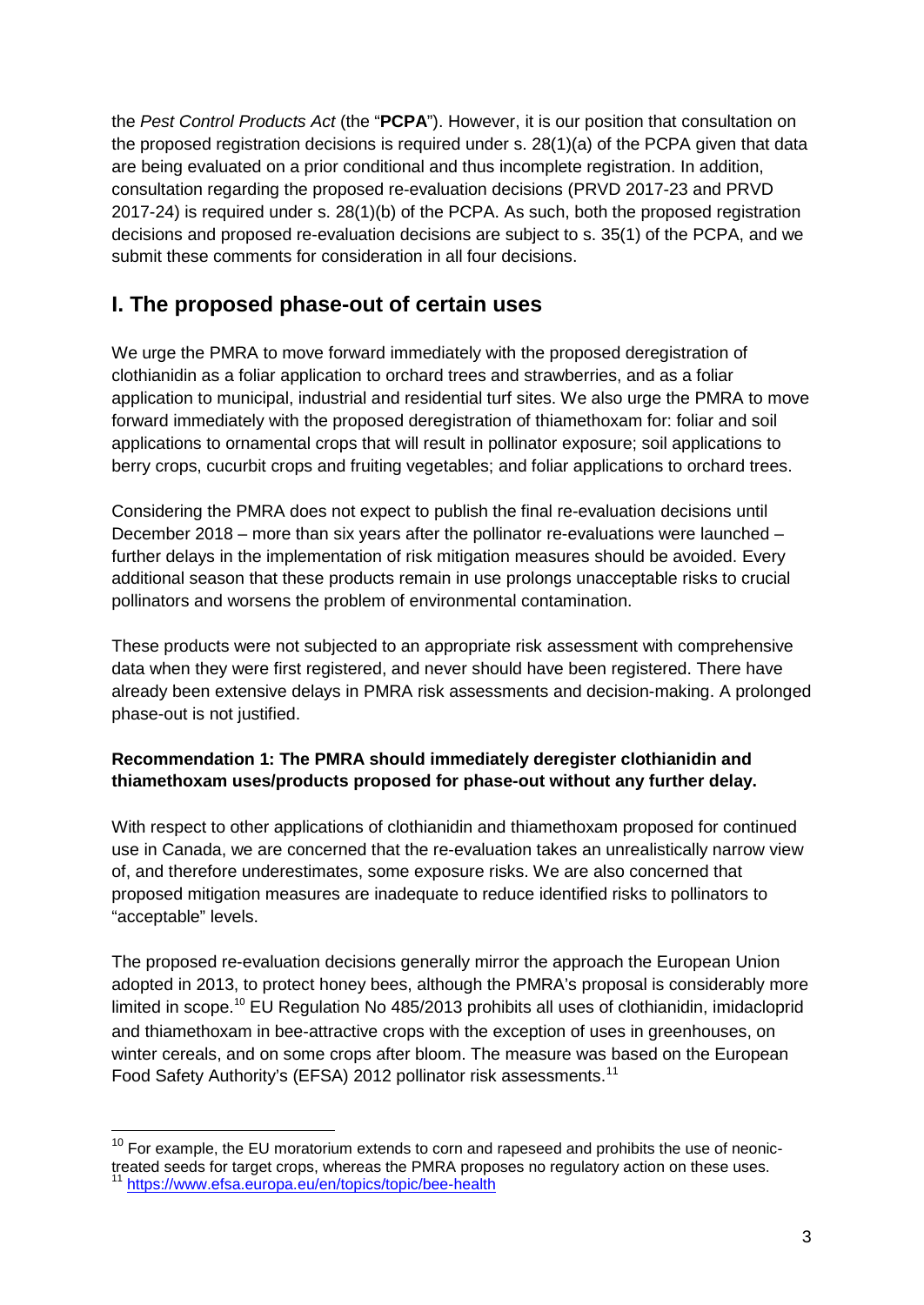the *Pest Control Products Act* (the "**PCPA**"). However, it is our position that consultation on the proposed registration decisions is required under s. 28(1)(a) of the PCPA given that data are being evaluated on a prior conditional and thus incomplete registration. In addition, consultation regarding the proposed re-evaluation decisions (PRVD 2017-23 and PRVD 2017-24) is required under s. 28(1)(b) of the PCPA. As such, both the proposed registration decisions and proposed re-evaluation decisions are subject to s. 35(1) of the PCPA, and we submit these comments for consideration in all four decisions.

# **I. The proposed phase-out of certain uses**

We urge the PMRA to move forward immediately with the proposed deregistration of clothianidin as a foliar application to orchard trees and strawberries, and as a foliar application to municipal, industrial and residential turf sites. We also urge the PMRA to move forward immediately with the proposed deregistration of thiamethoxam for: foliar and soil applications to ornamental crops that will result in pollinator exposure; soil applications to berry crops, cucurbit crops and fruiting vegetables; and foliar applications to orchard trees.

Considering the PMRA does not expect to publish the final re-evaluation decisions until December 2018 – more than six years after the pollinator re-evaluations were launched – further delays in the implementation of risk mitigation measures should be avoided. Every additional season that these products remain in use prolongs unacceptable risks to crucial pollinators and worsens the problem of environmental contamination.

These products were not subjected to an appropriate risk assessment with comprehensive data when they were first registered, and never should have been registered. There have already been extensive delays in PMRA risk assessments and decision-making. A prolonged phase-out is not justified.

### **Recommendation 1: The PMRA should immediately deregister clothianidin and thiamethoxam uses/products proposed for phase-out without any further delay.**

With respect to other applications of clothianidin and thiamethoxam proposed for continued use in Canada, we are concerned that the re-evaluation takes an unrealistically narrow view of, and therefore underestimates, some exposure risks. We are also concerned that proposed mitigation measures are inadequate to reduce identified risks to pollinators to "acceptable" levels.

The proposed re-evaluation decisions generally mirror the approach the European Union adopted in 2013, to protect honey bees, although the PMRA's proposal is considerably more limited in scope.<sup>[10](#page-2-0)</sup> EU Regulation No 485/2013 prohibits all uses of clothianidin, imidacloprid and thiamethoxam in bee-attractive crops with the exception of uses in greenhouses, on winter cereals, and on some crops after bloom. The measure was based on the European Food Safety Authority's (EFSA) 2012 pollinator risk assessments.<sup>[11](#page-2-1)</sup>

<span id="page-2-1"></span><span id="page-2-0"></span> $10$  For example, the EU moratorium extends to corn and rapeseed and prohibits the use of neonictreated seeds for target crops, whereas the PMRA proposes no regulatory action on these uses.<br><sup>11</sup> <https://www.efsa.europa.eu/en/topics/topic/bee-health>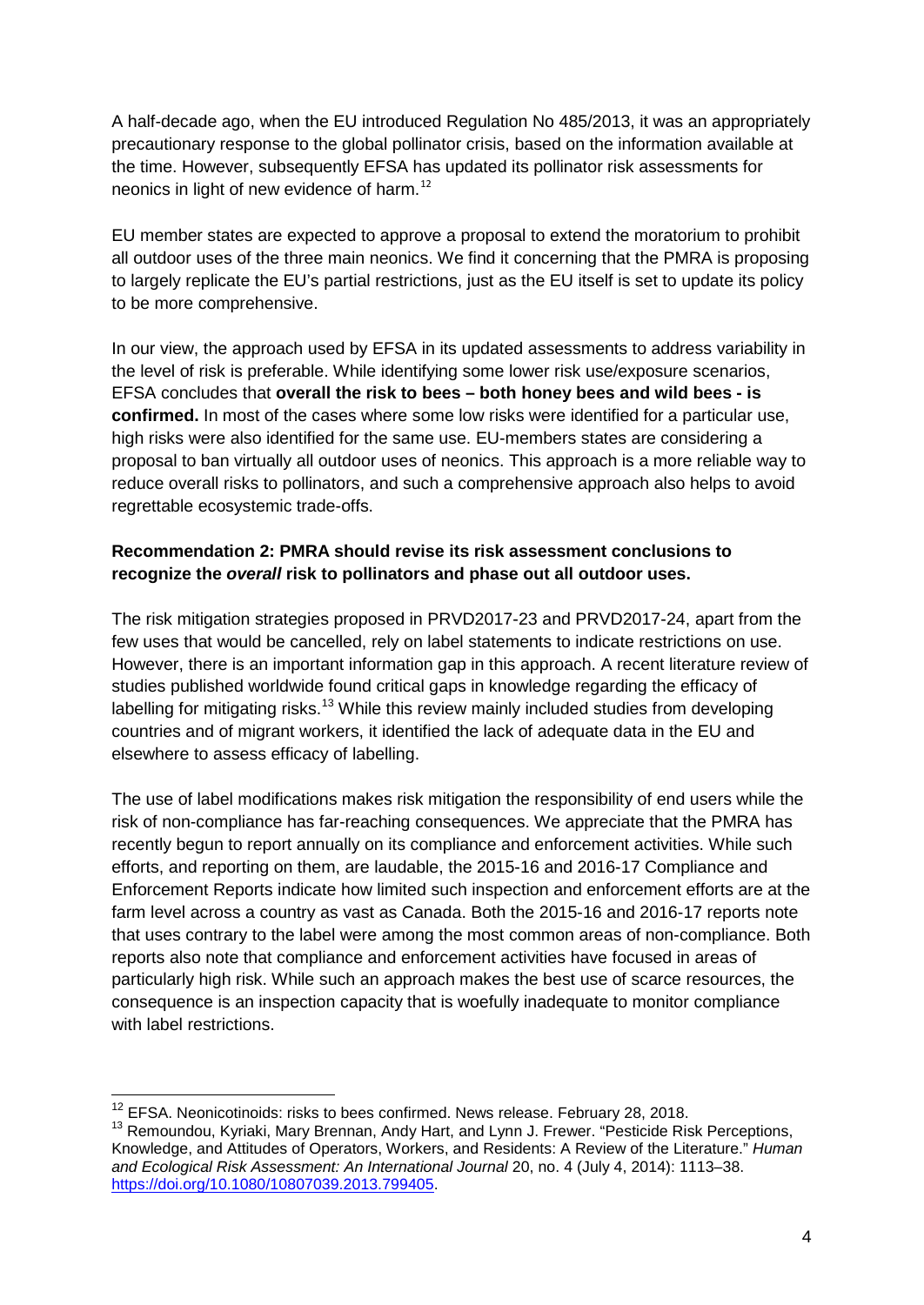A half-decade ago, when the EU introduced Regulation No 485/2013, it was an appropriately precautionary response to the global pollinator crisis, based on the information available at the time. However, subsequently EFSA has updated its pollinator risk assessments for neonics in light of new evidence of harm.<sup>[12](#page-3-0)</sup>

EU member states are expected to approve a proposal to extend the moratorium to prohibit all outdoor uses of the three main neonics. We find it concerning that the PMRA is proposing to largely replicate the EU's partial restrictions, just as the EU itself is set to update its policy to be more comprehensive.

In our view, the approach used by EFSA in its updated assessments to address variability in the level of risk is preferable. While identifying some lower risk use/exposure scenarios, EFSA concludes that **overall the risk to bees – both honey bees and wild bees - is confirmed.** In most of the cases where some low risks were identified for a particular use, high risks were also identified for the same use. EU-members states are considering a proposal to ban virtually all outdoor uses of neonics. This approach is a more reliable way to reduce overall risks to pollinators, and such a comprehensive approach also helps to avoid regrettable ecosystemic trade-offs.

### **Recommendation 2: PMRA should revise its risk assessment conclusions to recognize the** *overall* **risk to pollinators and phase out all outdoor uses.**

The risk mitigation strategies proposed in PRVD2017-23 and PRVD2017-24, apart from the few uses that would be cancelled, rely on label statements to indicate restrictions on use. However, there is an important information gap in this approach. A recent literature review of studies published worldwide found critical gaps in knowledge regarding the efficacy of labelling for mitigating risks.<sup>[13](#page-3-1)</sup> While this review mainly included studies from developing countries and of migrant workers, it identified the lack of adequate data in the EU and elsewhere to assess efficacy of labelling.

The use of label modifications makes risk mitigation the responsibility of end users while the risk of non-compliance has far-reaching consequences. We appreciate that the PMRA has recently begun to report annually on its compliance and enforcement activities. While such efforts, and reporting on them, are laudable, the 2015-16 and 2016-17 Compliance and Enforcement Reports indicate how limited such inspection and enforcement efforts are at the farm level across a country as vast as Canada. Both the 2015-16 and 2016-17 reports note that uses contrary to the label were among the most common areas of non-compliance. Both reports also note that compliance and enforcement activities have focused in areas of particularly high risk. While such an approach makes the best use of scarce resources, the consequence is an inspection capacity that is woefully inadequate to monitor compliance with label restrictions.

<span id="page-3-0"></span> $12$  EFSA. Neonicotinoids: risks to bees confirmed. News release. February 28, 2018.

<span id="page-3-1"></span><sup>&</sup>lt;sup>13</sup> Remoundou, Kyriaki, Mary Brennan, Andy Hart, and Lynn J. Frewer. "Pesticide Risk Perceptions, Knowledge, and Attitudes of Operators, Workers, and Residents: A Review of the Literature." *Human and Ecological Risk Assessment: An International Journal* 20, no. 4 (July 4, 2014): 1113–38. [https://doi.org/10.1080/10807039.2013.799405.](https://doi.org/10.1080/10807039.2013.799405)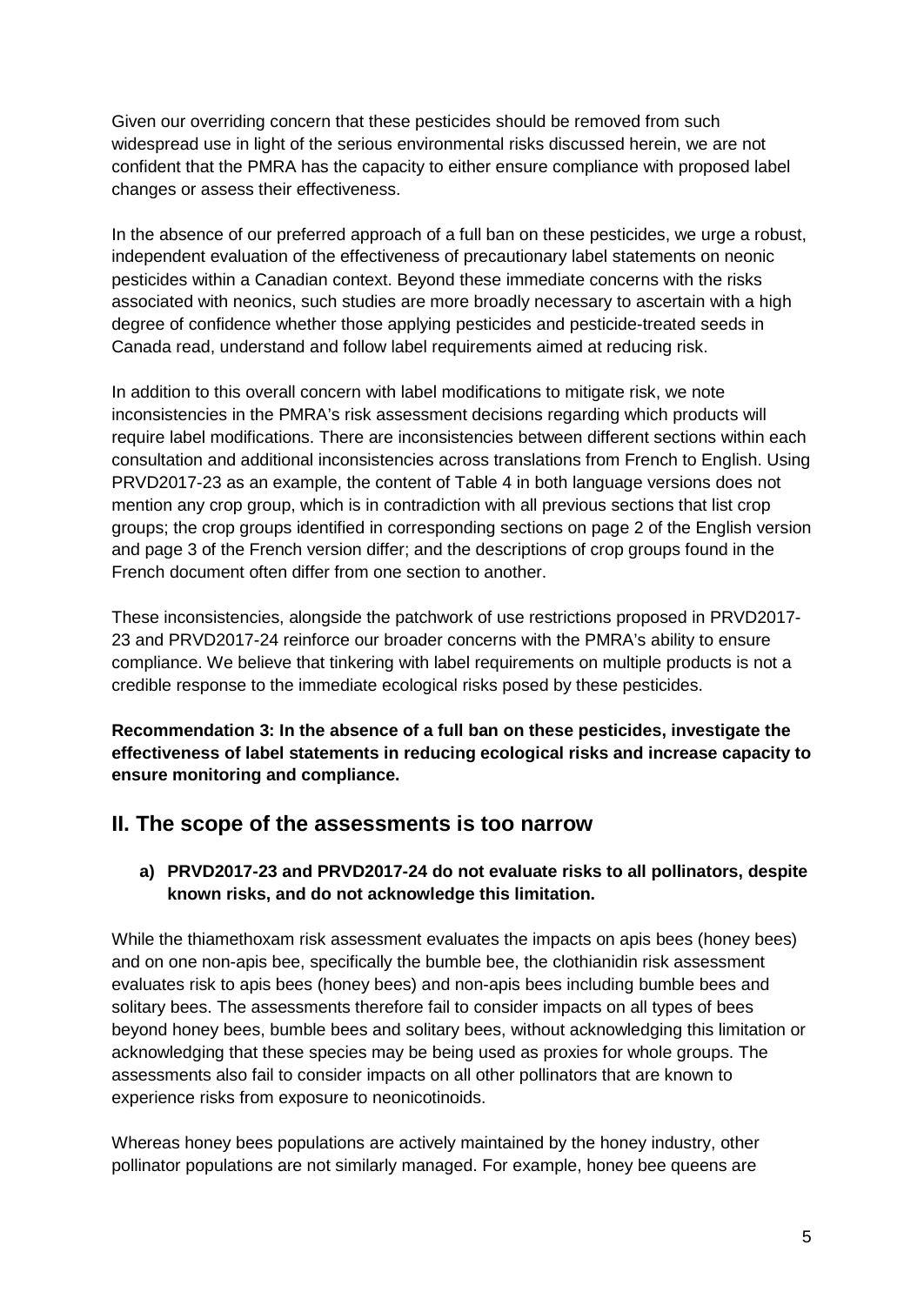Given our overriding concern that these pesticides should be removed from such widespread use in light of the serious environmental risks discussed herein, we are not confident that the PMRA has the capacity to either ensure compliance with proposed label changes or assess their effectiveness.

In the absence of our preferred approach of a full ban on these pesticides, we urge a robust, independent evaluation of the effectiveness of precautionary label statements on neonic pesticides within a Canadian context. Beyond these immediate concerns with the risks associated with neonics, such studies are more broadly necessary to ascertain with a high degree of confidence whether those applying pesticides and pesticide-treated seeds in Canada read, understand and follow label requirements aimed at reducing risk.

In addition to this overall concern with label modifications to mitigate risk, we note inconsistencies in the PMRA's risk assessment decisions regarding which products will require label modifications. There are inconsistencies between different sections within each consultation and additional inconsistencies across translations from French to English. Using PRVD2017-23 as an example, the content of Table 4 in both language versions does not mention any crop group, which is in contradiction with all previous sections that list crop groups; the crop groups identified in corresponding sections on page 2 of the English version and page 3 of the French version differ; and the descriptions of crop groups found in the French document often differ from one section to another.

These inconsistencies, alongside the patchwork of use restrictions proposed in PRVD2017- 23 and PRVD2017-24 reinforce our broader concerns with the PMRA's ability to ensure compliance. We believe that tinkering with label requirements on multiple products is not a credible response to the immediate ecological risks posed by these pesticides.

**Recommendation 3: In the absence of a full ban on these pesticides, investigate the effectiveness of label statements in reducing ecological risks and increase capacity to ensure monitoring and compliance.**

### **II. The scope of the assessments is too narrow**

#### **a) PRVD2017-23 and PRVD2017-24 do not evaluate risks to all pollinators, despite known risks, and do not acknowledge this limitation.**

While the thiamethoxam risk assessment evaluates the impacts on apis bees (honey bees) and on one non-apis bee, specifically the bumble bee, the clothianidin risk assessment evaluates risk to apis bees (honey bees) and non-apis bees including bumble bees and solitary bees. The assessments therefore fail to consider impacts on all types of bees beyond honey bees, bumble bees and solitary bees, without acknowledging this limitation or acknowledging that these species may be being used as proxies for whole groups. The assessments also fail to consider impacts on all other pollinators that are known to experience risks from exposure to neonicotinoids.

Whereas honey bees populations are actively maintained by the honey industry, other pollinator populations are not similarly managed. For example, honey bee queens are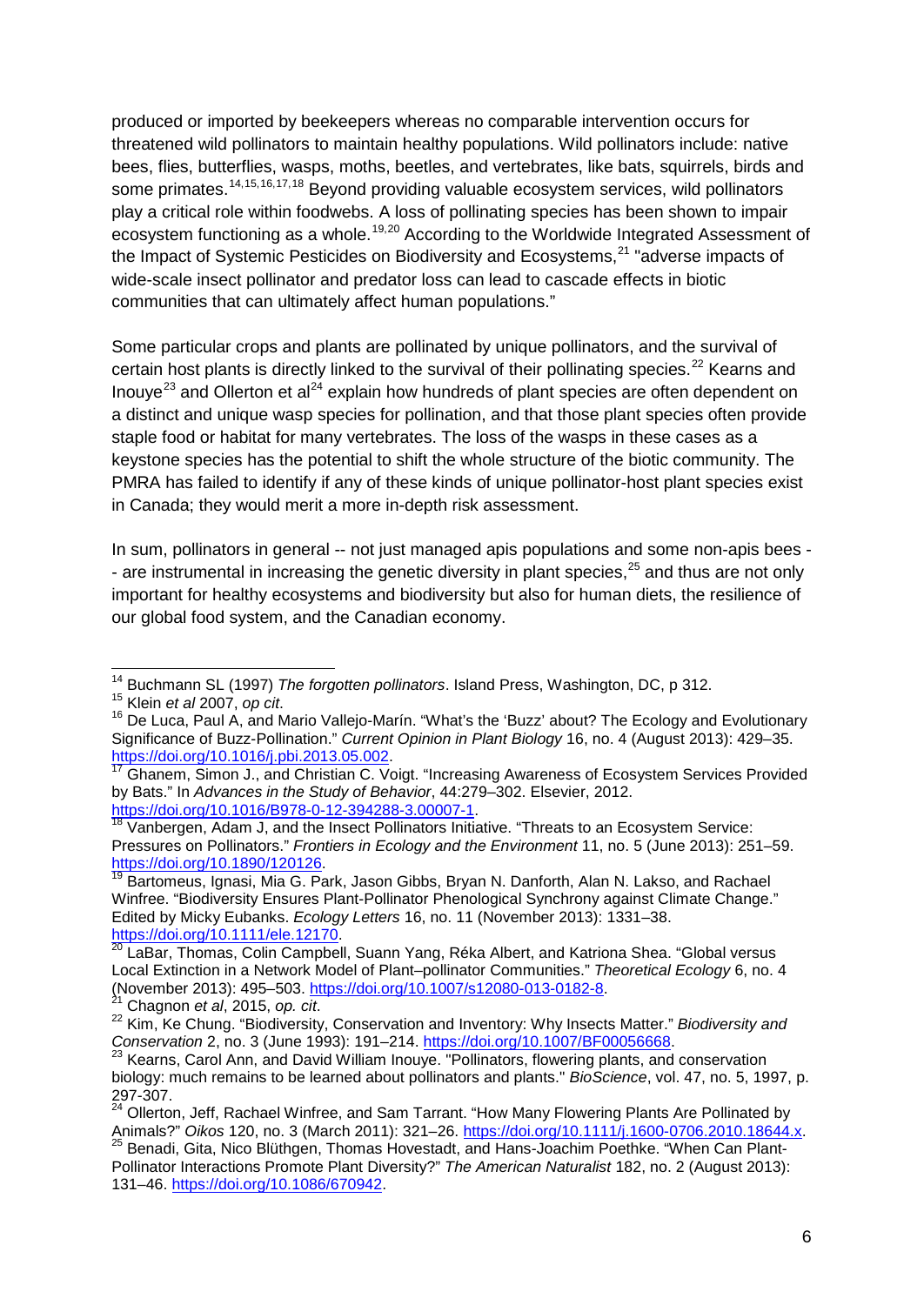produced or imported by beekeepers whereas no comparable intervention occurs for threatened wild pollinators to maintain healthy populations. Wild pollinators include: native bees, flies, butterflies, wasps, moths, beetles, and vertebrates, like bats, squirrels, birds and some primates.<sup>[14](#page-5-0),[15](#page-5-1),[16,](#page-5-2)[17,](#page-5-3)[18](#page-5-4)</sup> Beyond providing valuable ecosystem services, wild pollinators play a critical role within foodwebs. A loss of pollinating species has been shown to impair ecosystem functioning as a whole.<sup>[19,](#page-5-5)[20](#page-5-6)</sup> According to the Worldwide Integrated Assessment of the Impact of Systemic Pesticides on Biodiversity and Ecosystems,<sup>[21](#page-5-7)</sup> "adverse impacts of wide-scale insect pollinator and predator loss can lead to cascade effects in biotic communities that can ultimately affect human populations."

Some particular crops and plants are pollinated by unique pollinators, and the survival of certain host plants is directly linked to the survival of their pollinating species.<sup>[22](#page-5-8)</sup> Kearns and Inouye<sup>[23](#page-5-9)</sup> and Ollerton et al<sup>[24](#page-5-10)</sup> explain how hundreds of plant species are often dependent on a distinct and unique wasp species for pollination, and that those plant species often provide staple food or habitat for many vertebrates. The loss of the wasps in these cases as a keystone species has the potential to shift the whole structure of the biotic community. The PMRA has failed to identify if any of these kinds of unique pollinator-host plant species exist in Canada; they would merit a more in-depth risk assessment.

In sum, pollinators in general -- not just managed apis populations and some non-apis bees - - are instrumental in increasing the genetic diversity in plant species,<sup>[25](#page-5-11)</sup> and thus are not only important for healthy ecosystems and biodiversity but also for human diets, the resilience of our global food system, and the Canadian economy.

<span id="page-5-0"></span><sup>&</sup>lt;sup>14</sup> Buchmann SL (1997) *The forgotten pollinators*. Island Press, Washington, DC, p 312.<br><sup>15</sup> Klein *et al* 2007, *op cit*.<br><sup>16</sup> De Luca, Paul A, and Mario Vallejo-Marín. "What's the 'Buzz' about? The Ecology and Evoluti

<span id="page-5-2"></span><span id="page-5-1"></span>Significance of Buzz-Pollination." *Current Opinion in Plant Biology* 16, no. 4 (August 2013): 429–35.<br>https://doi.org/10.1016/j.pbi.2013.05.002.

<span id="page-5-3"></span>Ghanem, Simon J., and Christian C. Voigt. "Increasing Awareness of Ecosystem Services Provided by Bats." In *Advances in the Study of Behavior*, 44:279–302. Elsevier, 2012.<br>https://doi.org/10.1016/B978-0-12-394288-3.00007-1.

<span id="page-5-4"></span>Vanbergen, Adam J, and the Insect Pollinators Initiative. "Threats to an Ecosystem Service: Pressures on Pollinators." *Frontiers in Ecology and the Environment* 11, no. 5 (June 2013): 251–59.<br>https://doi.org/10.1890/120126.

<span id="page-5-5"></span>Bartomeus, Ignasi, Mia G. Park, Jason Gibbs, Bryan N. Danforth, Alan N. Lakso, and Rachael Winfree. "Biodiversity Ensures Plant-Pollinator Phenological Synchrony against Climate Change." Edited by Micky Eubanks. *Ecology Letters* 16, no. 11 (November 2013): 1331–38. [https://doi.org/10.1111/ele.12170.](https://doi.org/10.1111/ele.12170)<br><sup>20</sup> LaBar, Thomas, Colin Campbell, Suann Yang, Réka Albert, and Katriona Shea. "Global versus

<span id="page-5-6"></span>Local Extinction in a Network Model of Plant–pollinator Communities." *Theoretical Ecology* 6, no. 4 (November 2013): 495–503. [https://doi.org/10.1007/s12080-013-0182-8.](https://doi.org/10.1007/s12080-013-0182-8) 21 Chagnon *et al*, 2015, *op. cit*. <sup>22</sup> Kim, Ke Chung. "Biodiversity, Conservation and Inventory: Why Insects Matter." *Biodiversity and* 

<span id="page-5-8"></span><span id="page-5-7"></span>*Conservation* 2, no. 3 (June 1993): 191–214. [https://doi.org/10.1007/BF00056668.](https://doi.org/10.1007/BF00056668)<br><sup>23</sup> Kearns, Carol Ann, and David William Inouye. "Pollinators, flowering plants, and conservation

<span id="page-5-9"></span>biology: much remains to be learned about pollinators and plants." *BioScience*, vol. 47, no. 5, 1997, p.

<span id="page-5-11"></span><span id="page-5-10"></span><sup>24</sup> Ollerton, Jeff, Rachael Winfree, and Sam Tarrant. "How Many Flowering Plants Are Pollinated by<br>Animals?" Oikos 120, no. 3 (March 2011): 321–26. https://doi.org/10.1111/j.1600-0706.2010.18644.x. Animals?" *Oikos 120, no. 3 (March 2011): 321–2012*<br><sup>25</sup> Benadi, Gita, Nico Blüthgen, Thomas Hovestadt, and Hans-Joachim Poethke. "When Can Plant-Pollinator Interactions Promote Plant Diversity?" *The American Naturalist* 182, no. 2 (August 2013): 131–46. [https://doi.org/10.1086/670942.](https://doi.org/10.1086/670942)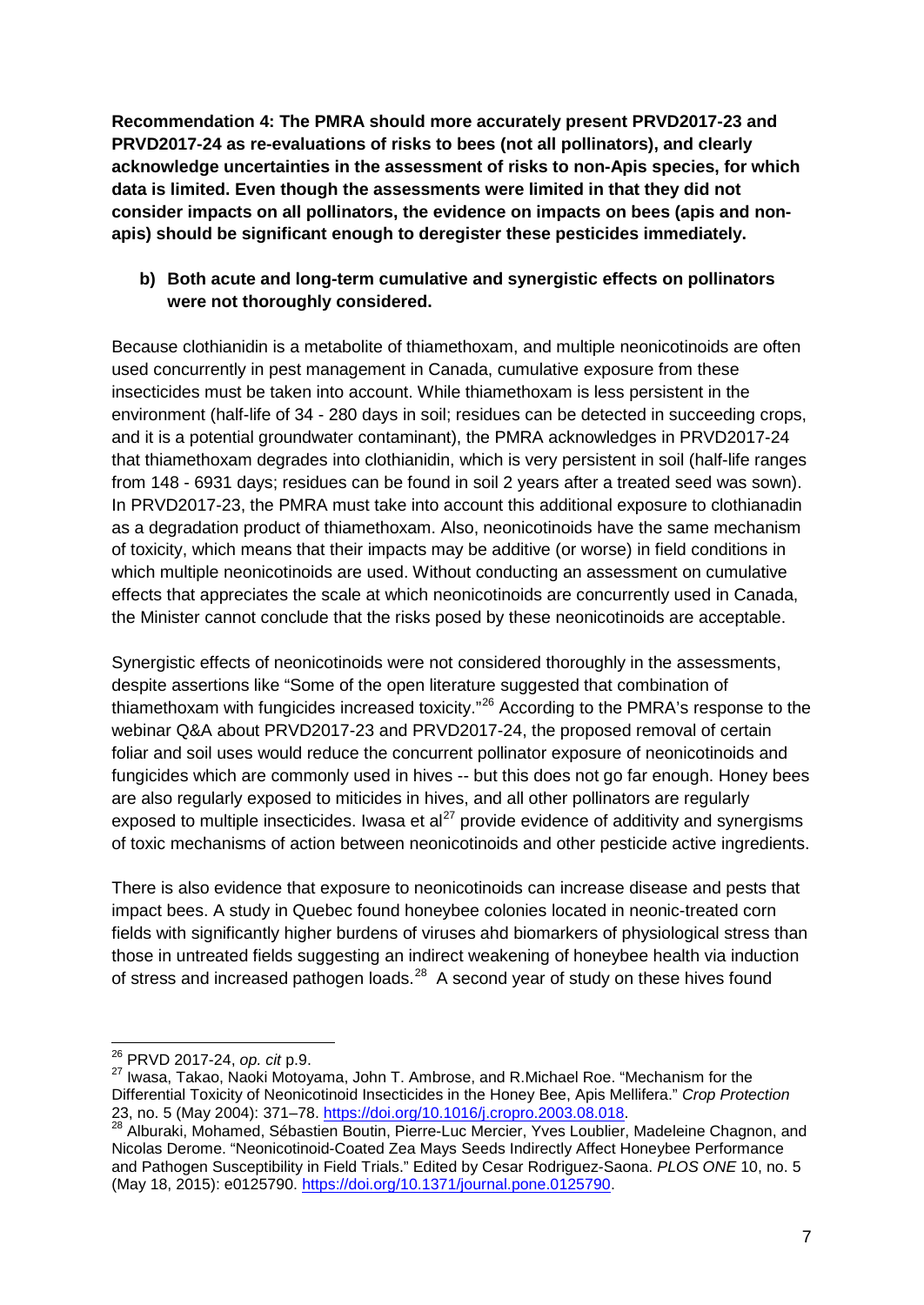**Recommendation 4: The PMRA should more accurately present PRVD2017-23 and PRVD2017-24 as re-evaluations of risks to bees (not all pollinators), and clearly acknowledge uncertainties in the assessment of risks to non-Apis species, for which data is limited. Even though the assessments were limited in that they did not consider impacts on all pollinators, the evidence on impacts on bees (apis and nonapis) should be significant enough to deregister these pesticides immediately.**

### **b) Both acute and long-term cumulative and synergistic effects on pollinators were not thoroughly considered.**

Because clothianidin is a metabolite of thiamethoxam, and multiple neonicotinoids are often used concurrently in pest management in Canada, cumulative exposure from these insecticides must be taken into account. While thiamethoxam is less persistent in the environment (half-life of 34 - 280 days in soil; residues can be detected in succeeding crops, and it is a potential groundwater contaminant), the PMRA acknowledges in PRVD2017-24 that thiamethoxam degrades into clothianidin, which is very persistent in soil (half-life ranges from 148 - 6931 days; residues can be found in soil 2 years after a treated seed was sown). In PRVD2017-23, the PMRA must take into account this additional exposure to clothianadin as a degradation product of thiamethoxam. Also, neonicotinoids have the same mechanism of toxicity, which means that their impacts may be additive (or worse) in field conditions in which multiple neonicotinoids are used. Without conducting an assessment on cumulative effects that appreciates the scale at which neonicotinoids are concurrently used in Canada, the Minister cannot conclude that the risks posed by these neonicotinoids are acceptable.

Synergistic effects of neonicotinoids were not considered thoroughly in the assessments, despite assertions like "Some of the open literature suggested that combination of thiamethoxam with fungicides increased toxicity."<sup>[26](#page-6-0)</sup> According to the PMRA's response to the webinar Q&A about PRVD2017-23 and PRVD2017-24, the proposed removal of certain foliar and soil uses would reduce the concurrent pollinator exposure of neonicotinoids and fungicides which are commonly used in hives -- but this does not go far enough. Honey bees are also regularly exposed to miticides in hives, and all other pollinators are regularly exposed to multiple insecticides. Iwasa et  $al^{27}$  $al^{27}$  $al^{27}$  provide evidence of additivity and synergisms of toxic mechanisms of action between neonicotinoids and other pesticide active ingredients.

There is also evidence that exposure to neonicotinoids can increase disease and pests that impact bees. A study in Quebec found honeybee colonies located in neonic-treated corn fields with significantly higher burdens of viruses ahd biomarkers of physiological stress than those in untreated fields suggesting an indirect weakening of honeybee health via induction of stress and increased pathogen loads.<sup>[28](#page-6-2)</sup> A second year of study on these hives found

<span id="page-6-1"></span><span id="page-6-0"></span><sup>&</sup>lt;sup>26</sup> PRVD 2017-24, *op. cit* p.9.<br><sup>27</sup> Iwasa, Takao, Naoki Motoyama, John T. Ambrose, and R.Michael Roe. "Mechanism for the Differential Toxicity of Neonicotinoid Insecticides in the Honey Bee, Apis Mellifera." *Crop Protection* 23, no. 5 (May 2004): 371–78. [https://doi.org/10.1016/j.cropro.2003.08.018.](https://doi.org/10.1016/j.cropro.2003.08.018)<br><sup>28</sup> Alburaki, Mohamed, Sébastien Boutin, Pierre-Luc Mercier, Yves Loublier, Madeleine Chagnon, and

<span id="page-6-2"></span>Nicolas Derome. "Neonicotinoid-Coated Zea Mays Seeds Indirectly Affect Honeybee Performance and Pathogen Susceptibility in Field Trials." Edited by Cesar Rodriguez-Saona. *PLOS ONE* 10, no. 5 (May 18, 2015): e0125790. [https://doi.org/10.1371/journal.pone.0125790.](https://doi.org/10.1371/journal.pone.0125790)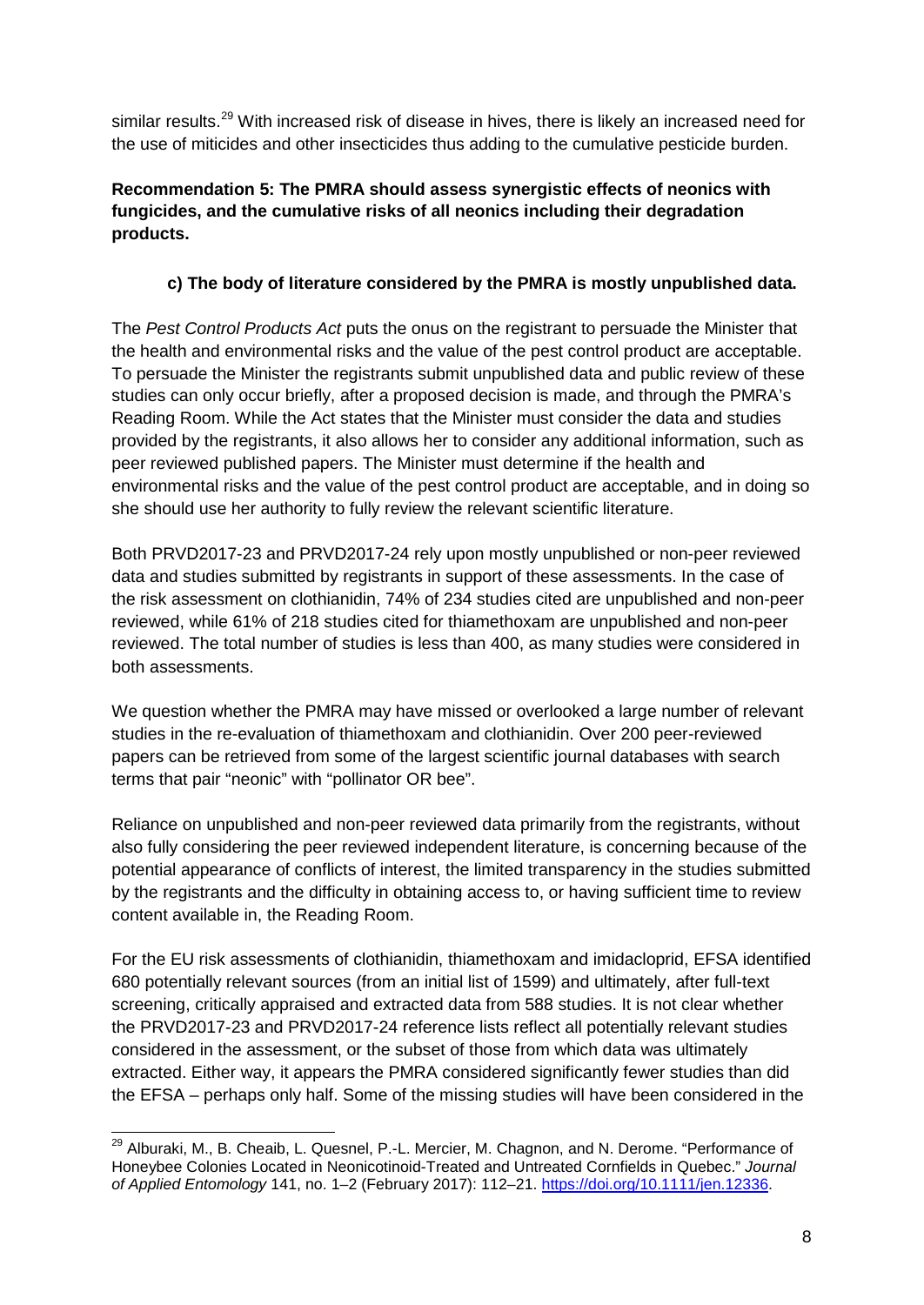similar results.<sup>[29](#page-7-0)</sup> With increased risk of disease in hives, there is likely an increased need for the use of miticides and other insecticides thus adding to the cumulative pesticide burden.

### **Recommendation 5: The PMRA should assess synergistic effects of neonics with fungicides, and the cumulative risks of all neonics including their degradation products.**

### **c) The body of literature considered by the PMRA is mostly unpublished data.**

The *Pest Control Products Act* puts the onus on the registrant to persuade the Minister that the health and environmental risks and the value of the pest control product are acceptable. To persuade the Minister the registrants submit unpublished data and public review of these studies can only occur briefly, after a proposed decision is made, and through the PMRA's Reading Room. While the Act states that the Minister must consider the data and studies provided by the registrants, it also allows her to consider any additional information, such as peer reviewed published papers. The Minister must determine if the health and environmental risks and the value of the pest control product are acceptable, and in doing so she should use her authority to fully review the relevant scientific literature.

Both PRVD2017-23 and PRVD2017-24 rely upon mostly unpublished or non-peer reviewed data and studies submitted by registrants in support of these assessments. In the case of the risk assessment on clothianidin, 74% of 234 studies cited are unpublished and non-peer reviewed, while 61% of 218 studies cited for thiamethoxam are unpublished and non-peer reviewed. The total number of studies is less than 400, as many studies were considered in both assessments.

We question whether the PMRA may have missed or overlooked a large number of relevant studies in the re-evaluation of thiamethoxam and clothianidin. Over 200 peer-reviewed papers can be retrieved from some of the largest scientific journal databases with search terms that pair "neonic" with "pollinator OR bee".

Reliance on unpublished and non-peer reviewed data primarily from the registrants, without also fully considering the peer reviewed independent literature, is concerning because of the potential appearance of conflicts of interest, the limited transparency in the studies submitted by the registrants and the difficulty in obtaining access to, or having sufficient time to review content available in, the Reading Room.

For the EU risk assessments of clothianidin, thiamethoxam and imidacloprid, EFSA identified 680 potentially relevant sources (from an initial list of 1599) and ultimately, after full-text screening, critically appraised and extracted data from 588 studies. It is not clear whether the PRVD2017-23 and PRVD2017-24 reference lists reflect all potentially relevant studies considered in the assessment, or the subset of those from which data was ultimately extracted. Either way, it appears the PMRA considered significantly fewer studies than did the EFSA – perhaps only half. Some of the missing studies will have been considered in the

<span id="page-7-0"></span><sup>&</sup>lt;sup>29</sup> Alburaki. M., B. Cheaib, L. Quesnel, P.-L. Mercier, M. Chagnon, and N. Derome. "Performance of Honeybee Colonies Located in Neonicotinoid-Treated and Untreated Cornfields in Quebec." *Journal of Applied Entomology* 141, no. 1–2 (February 2017): 112–21. [https://doi.org/10.1111/jen.12336.](https://doi.org/10.1111/jen.12336)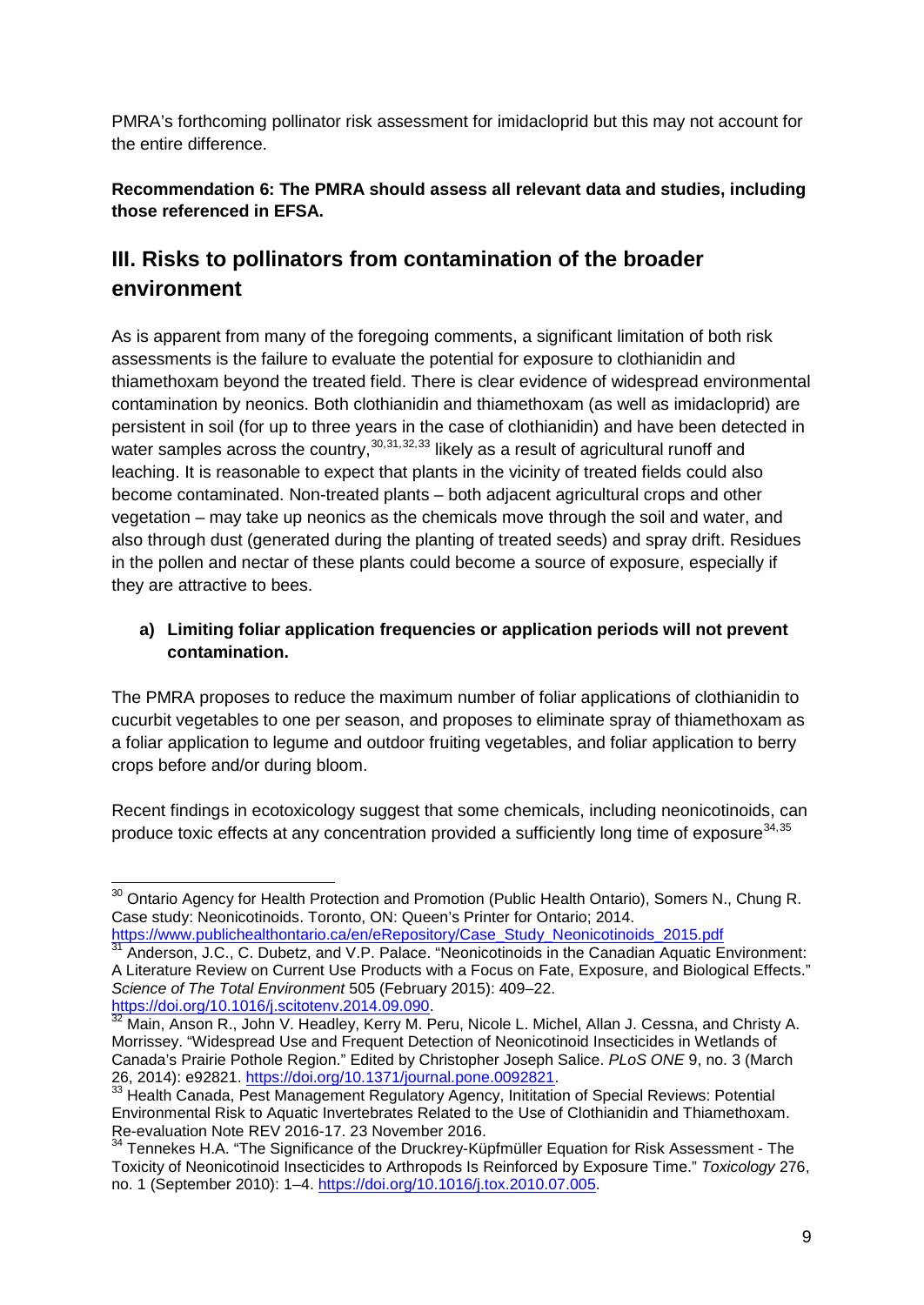PMRA's forthcoming pollinator risk assessment for imidacloprid but this may not account for the entire difference.

### **Recommendation 6: The PMRA should assess all relevant data and studies, including those referenced in EFSA.**

# **III. Risks to pollinators from contamination of the broader environment**

As is apparent from many of the foregoing comments, a significant limitation of both risk assessments is the failure to evaluate the potential for exposure to clothianidin and thiamethoxam beyond the treated field. There is clear evidence of widespread environmental contamination by neonics. Both clothianidin and thiamethoxam (as well as imidacloprid) are persistent in soil (for up to three years in the case of clothianidin) and have been detected in water samples across the country,<sup>[30](#page-8-0)[,31](#page-8-1),[32](#page-8-2),[33](#page-8-3)</sup> likely as a result of agricultural runoff and leaching. It is reasonable to expect that plants in the vicinity of treated fields could also become contaminated. Non-treated plants – both adjacent agricultural crops and other vegetation – may take up neonics as the chemicals move through the soil and water, and also through dust (generated during the planting of treated seeds) and spray drift. Residues in the pollen and nectar of these plants could become a source of exposure, especially if they are attractive to bees.

### **a) Limiting foliar application frequencies or application periods will not prevent contamination.**

The PMRA proposes to reduce the maximum number of foliar applications of clothianidin to cucurbit vegetables to one per season, and proposes to eliminate spray of thiamethoxam as a foliar application to legume and outdoor fruiting vegetables, and foliar application to berry crops before and/or during bloom.

Recent findings in ecotoxicology suggest that some chemicals, including neonicotinoids, can produce toxic effects at any concentration provided a sufficiently long time of exposure<sup>[34](#page-8-4),[35](#page-8-5)</sup>

<span id="page-8-0"></span><sup>&</sup>lt;sup>30</sup> Ontario Agency for Health Protection and Promotion (Public Health Ontario), Somers N., Chung R. Case study: Neonicotinoids. Toronto, ON: Queen's Printer for Ontario; 2014.

<span id="page-8-1"></span>[https://www.publichealthontario.ca/en/eRepository/Case\\_Study\\_Neonicotinoids\\_2015.pdf](https://www.publichealthontario.ca/en/eRepository/Case_Study_Neonicotinoids_2015.pdf)<br><sup>31</sup> Anderson, J.C., C. Dubetz, and V.P. Palace. "Neonicotinoids in the Canadian Aquatic Environment: A Literature Review on Current Use Products with a Focus on Fate, Exposure, and Biological Effects." *Science of The Total Environment* 505 (February 2015): 409–22.

<span id="page-8-5"></span><span id="page-8-2"></span>Main, Anson R., John V. Headley, Kerry M. Peru, Nicole L. Michel, Allan J. Cessna, and Christy A. Morrissey. "Widespread Use and Frequent Detection of Neonicotinoid Insecticides in Wetlands of Canada's Prairie Pothole Region." Edited by Christopher Joseph Salice. *PLoS ONE* 9, no. 3 (March 26, 2014): e92821. [https://doi.org/10.1371/journal.pone.0092821.](https://doi.org/10.1371/journal.pone.0092821)<br>
<sup>33</sup> Health Canada, Pest Management Regulatory Agency, Inititation of Special Reviews: Potential<br>
<sup>33</sup> Health Canada, Pest Management Regulatory Agency, Ini

<span id="page-8-3"></span>Environmental Risk to Aquatic Invertebrates Related to the Use of Clothianidin and Thiamethoxam. Re-evaluation Note REV 2016-17. 23 November 2016.

<span id="page-8-4"></span><sup>&</sup>lt;sup>34</sup> Tennekes H.A. "The Significance of the Druckrey-Küpfmüller Equation for Risk Assessment - The Toxicity of Neonicotinoid Insecticides to Arthropods Is Reinforced by Exposure Time." *Toxicology* 276, no. 1 (September 2010): 1–4. [https://doi.org/10.1016/j.tox.2010.07.005.](https://doi.org/10.1016/j.tox.2010.07.005)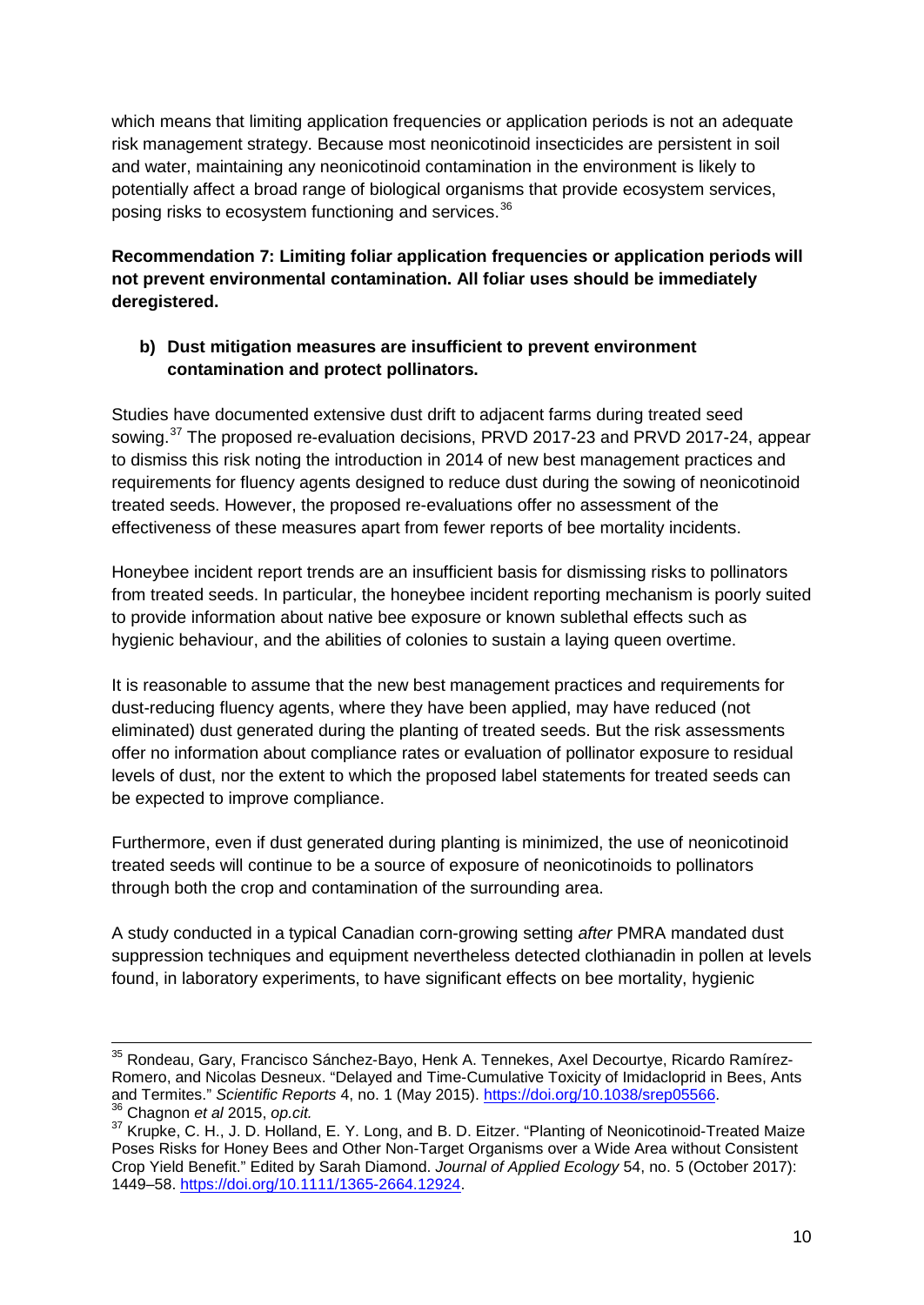which means that limiting application frequencies or application periods is not an adequate risk management strategy. Because most neonicotinoid insecticides are persistent in soil and water, maintaining any neonicotinoid contamination in the environment is likely to potentially affect a broad range of biological organisms that provide ecosystem services, posing risks to ecosystem functioning and services. [36](#page-9-0)

**Recommendation 7: Limiting foliar application frequencies or application periods will not prevent environmental contamination. All foliar uses should be immediately deregistered.**

### **b) Dust mitigation measures are insufficient to prevent environment contamination and protect pollinators.**

Studies have documented extensive dust drift to adjacent farms during treated seed sowing.<sup>[37](#page-9-1)</sup> The proposed re-evaluation decisions, PRVD 2017-23 and PRVD 2017-24, appear to dismiss this risk noting the introduction in 2014 of new best management practices and requirements for fluency agents designed to reduce dust during the sowing of neonicotinoid treated seeds. However, the proposed re-evaluations offer no assessment of the effectiveness of these measures apart from fewer reports of bee mortality incidents.

Honeybee incident report trends are an insufficient basis for dismissing risks to pollinators from treated seeds. In particular, the honeybee incident reporting mechanism is poorly suited to provide information about native bee exposure or known sublethal effects such as hygienic behaviour, and the abilities of colonies to sustain a laying queen overtime.

It is reasonable to assume that the new best management practices and requirements for dust-reducing fluency agents, where they have been applied, may have reduced (not eliminated) dust generated during the planting of treated seeds. But the risk assessments offer no information about compliance rates or evaluation of pollinator exposure to residual levels of dust, nor the extent to which the proposed label statements for treated seeds can be expected to improve compliance.

Furthermore, even if dust generated during planting is minimized, the use of neonicotinoid treated seeds will continue to be a source of exposure of neonicotinoids to pollinators through both the crop and contamination of the surrounding area.

A study conducted in a typical Canadian corn-growing setting *after* PMRA mandated dust suppression techniques and equipment nevertheless detected clothianadin in pollen at levels found, in laboratory experiments, to have significant effects on bee mortality, hygienic

<sup>&</sup>lt;sup>35</sup> Rondeau, Gary, Francisco Sánchez-Bayo, Henk A. Tennekes, Axel Decourtye, Ricardo Ramírez-Romero, and Nicolas Desneux. "Delayed and Time-Cumulative Toxicity of Imidacloprid in Bees, Ants and Termites." Scientific Reports 4, no. 1 (May 2015). https://doi.org/10.1038/srep05566.

<span id="page-9-1"></span><span id="page-9-0"></span><sup>&</sup>lt;sup>36</sup> Chagnon et al 2015, op.cit.<br><sup>37</sup> Krupke, C. H., J. D. Holland, E. Y. Long, and B. D. Eitzer. "Planting of Neonicotinoid-Treated Maize Poses Risks for Honey Bees and Other Non-Target Organisms over a Wide Area without Consistent Crop Yield Benefit." Edited by Sarah Diamond. *Journal of Applied Ecology* 54, no. 5 (October 2017): 1449–58. [https://doi.org/10.1111/1365-2664.12924.](https://doi.org/10.1111/1365-2664.12924)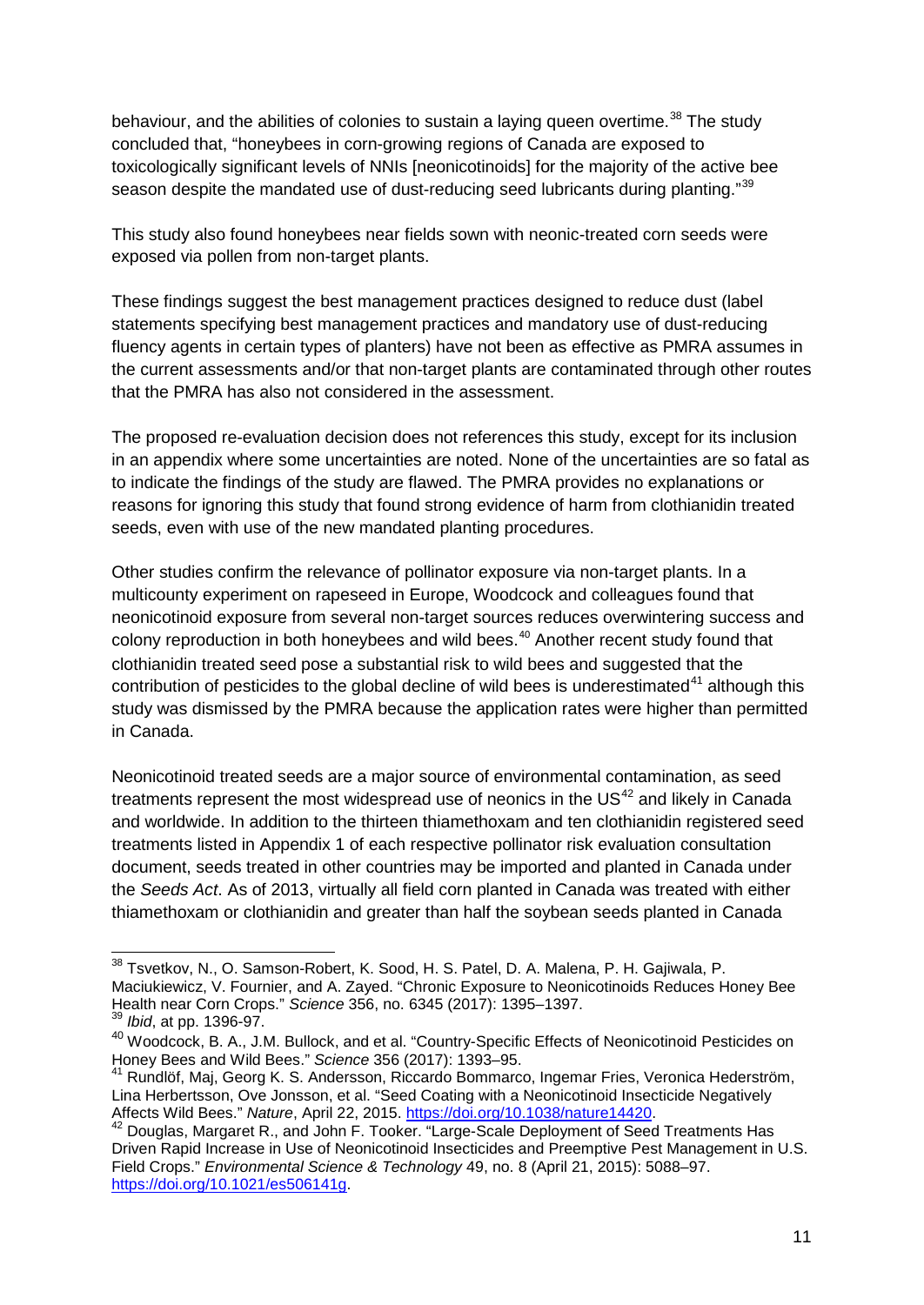behaviour, and the abilities of colonies to sustain a laying queen overtime.<sup>[38](#page-10-0)</sup> The study concluded that, "honeybees in corn-growing regions of Canada are exposed to toxicologically significant levels of NNIs [neonicotinoids] for the majority of the active bee season despite the mandated use of dust-reducing seed lubricants during planting."<sup>[39](#page-10-1)</sup>

This study also found honeybees near fields sown with neonic-treated corn seeds were exposed via pollen from non-target plants.

These findings suggest the best management practices designed to reduce dust (label statements specifying best management practices and mandatory use of dust-reducing fluency agents in certain types of planters) have not been as effective as PMRA assumes in the current assessments and/or that non-target plants are contaminated through other routes that the PMRA has also not considered in the assessment.

The proposed re-evaluation decision does not references this study, except for its inclusion in an appendix where some uncertainties are noted. None of the uncertainties are so fatal as to indicate the findings of the study are flawed. The PMRA provides no explanations or reasons for ignoring this study that found strong evidence of harm from clothianidin treated seeds, even with use of the new mandated planting procedures.

Other studies confirm the relevance of pollinator exposure via non-target plants. In a multicounty experiment on rapeseed in Europe, Woodcock and colleagues found that neonicotinoid exposure from several non-target sources reduces overwintering success and colony reproduction in both honeybees and wild bees.<sup>[40](#page-10-2)</sup> Another recent study found that clothianidin treated seed pose a substantial risk to wild bees and suggested that the contribution of pesticides to the global decline of wild bees is underestimated $41$  although this study was dismissed by the PMRA because the application rates were higher than permitted in Canada.

Neonicotinoid treated seeds are a major source of environmental contamination, as seed treatments represent the most widespread use of neonics in the  $US<sup>42</sup>$  $US<sup>42</sup>$  $US<sup>42</sup>$  and likely in Canada and worldwide. In addition to the thirteen thiamethoxam and ten clothianidin registered seed treatments listed in Appendix 1 of each respective pollinator risk evaluation consultation document, seeds treated in other countries may be imported and planted in Canada under the *Seeds Act*. As of 2013, virtually all field corn planted in Canada was treated with either thiamethoxam or clothianidin and greater than half the soybean seeds planted in Canada

<span id="page-10-0"></span> <sup>38</sup> Tsvetkov, N., O. Samson-Robert, K. Sood, H. S. Patel, D. A. Malena, P. H. Gajiwala, P. Maciukiewicz, V. Fournier, and A. Zayed. "Chronic Exposure to Neonicotinoids Reduces Honey Bee Health near Corn Crops." *Science* 356, no. 6345 (2017): 1395–1397.

<sup>39</sup> *Ibid*, at pp. 1396-97.

<span id="page-10-2"></span><span id="page-10-1"></span><sup>40</sup> Woodcock, B. A., J.M. Bullock, and et al. "Country-Specific Effects of Neonicotinoid Pesticides on Honey Bees and Wild Bees." *Science* 356 (2017): 1393–95.

<span id="page-10-3"></span><sup>&</sup>lt;sup>41</sup> Rundlöf, Maj, Georg K. S. Andersson, Riccardo Bommarco, Ingemar Fries, Veronica Hederström, Lina Herbertsson, Ove Jonsson, et al. "Seed Coating with a Neonicotinoid Insecticide Negatively<br>Affects Wild Bees." Nature, April 22, 2015. https://doi.org/10.1038/nature14420.

<span id="page-10-4"></span><sup>&</sup>lt;sup>42</sup> Douglas, Margaret R., and John F. Tooker. "Large-Scale Deployment of Seed Treatments Has Driven Rapid Increase in Use of Neonicotinoid Insecticides and Preemptive Pest Management in U.S. Field Crops." *Environmental Science & Technology* 49, no. 8 (April 21, 2015): 5088–97. [https://doi.org/10.1021/es506141g.](https://doi.org/10.1021/es506141g)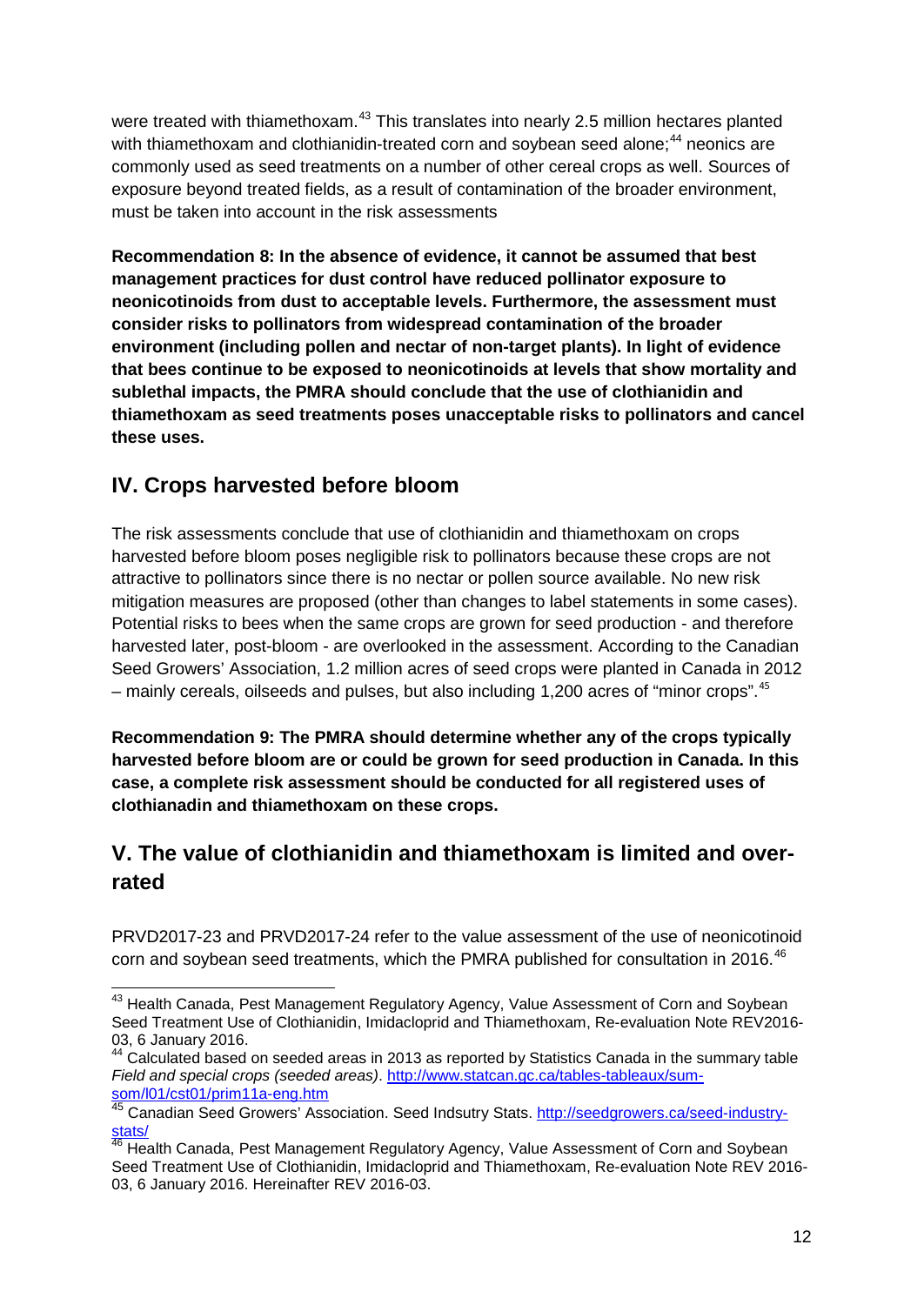were treated with thiamethoxam.<sup>[43](#page-11-0)</sup> This translates into nearly 2.5 million hectares planted with thiamethoxam and clothianidin-treated corn and soybean seed alone;<sup>[44](#page-11-1)</sup> neonics are commonly used as seed treatments on a number of other cereal crops as well. Sources of exposure beyond treated fields, as a result of contamination of the broader environment, must be taken into account in the risk assessments

**Recommendation 8: In the absence of evidence, it cannot be assumed that best management practices for dust control have reduced pollinator exposure to neonicotinoids from dust to acceptable levels. Furthermore, the assessment must consider risks to pollinators from widespread contamination of the broader environment (including pollen and nectar of non-target plants). In light of evidence that bees continue to be exposed to neonicotinoids at levels that show mortality and sublethal impacts, the PMRA should conclude that the use of clothianidin and thiamethoxam as seed treatments poses unacceptable risks to pollinators and cancel these uses.**

# **IV. Crops harvested before bloom**

The risk assessments conclude that use of clothianidin and thiamethoxam on crops harvested before bloom poses negligible risk to pollinators because these crops are not attractive to pollinators since there is no nectar or pollen source available. No new risk mitigation measures are proposed (other than changes to label statements in some cases). Potential risks to bees when the same crops are grown for seed production - and therefore harvested later, post-bloom - are overlooked in the assessment. According to the Canadian Seed Growers' Association, 1.2 million acres of seed crops were planted in Canada in 2012 – mainly cereals, oilseeds and pulses, but also including 1,200 acres of "minor crops".[45](#page-11-2)

**Recommendation 9: The PMRA should determine whether any of the crops typically harvested before bloom are or could be grown for seed production in Canada. In this case, a complete risk assessment should be conducted for all registered uses of clothianadin and thiamethoxam on these crops.**

# **V. The value of clothianidin and thiamethoxam is limited and overrated**

PRVD2017-23 and PRVD2017-24 refer to the value assessment of the use of neonicotinoid corn and soybean seed treatments, which the PMRA published for consultation in 2016.<sup>[46](#page-11-3)</sup>

<span id="page-11-0"></span><sup>&</sup>lt;sup>43</sup> Health Canada, Pest Management Regulatory Agency, Value Assessment of Corn and Soybean Seed Treatment Use of Clothianidin, Imidacloprid and Thiamethoxam, Re-evaluation Note REV2016-<br>03, 6 January 2016.

<span id="page-11-1"></span> $4$  Calculated based on seeded areas in 2013 as reported by Statistics Canada in the summary table *Field and special crops (seeded areas)*. [http://www.statcan.gc.ca/tables-tableaux/sum](http://www.statcan.gc.ca/tables-tableaux/sum-som/l01/cst01/prim11a-eng.htm)[som/l01/cst01/prim11a-eng.htm](http://www.statcan.gc.ca/tables-tableaux/sum-som/l01/cst01/prim11a-eng.htm) <br><sup>45</sup> Canadian Seed Growers' Association. Seed Indsutry Stats. [http://seedgrowers.ca/seed-industry-](http://seedgrowers.ca/seed-industry-stats/)

<span id="page-11-2"></span>[stats/](http://seedgrowers.ca/seed-industry-stats/)

<span id="page-11-3"></span><sup>&</sup>lt;sup>46</sup> Health Canada, Pest Management Regulatory Agency, Value Assessment of Corn and Soybean Seed Treatment Use of Clothianidin, Imidacloprid and Thiamethoxam, Re-evaluation Note REV 2016- 03, 6 January 2016. Hereinafter REV 2016-03.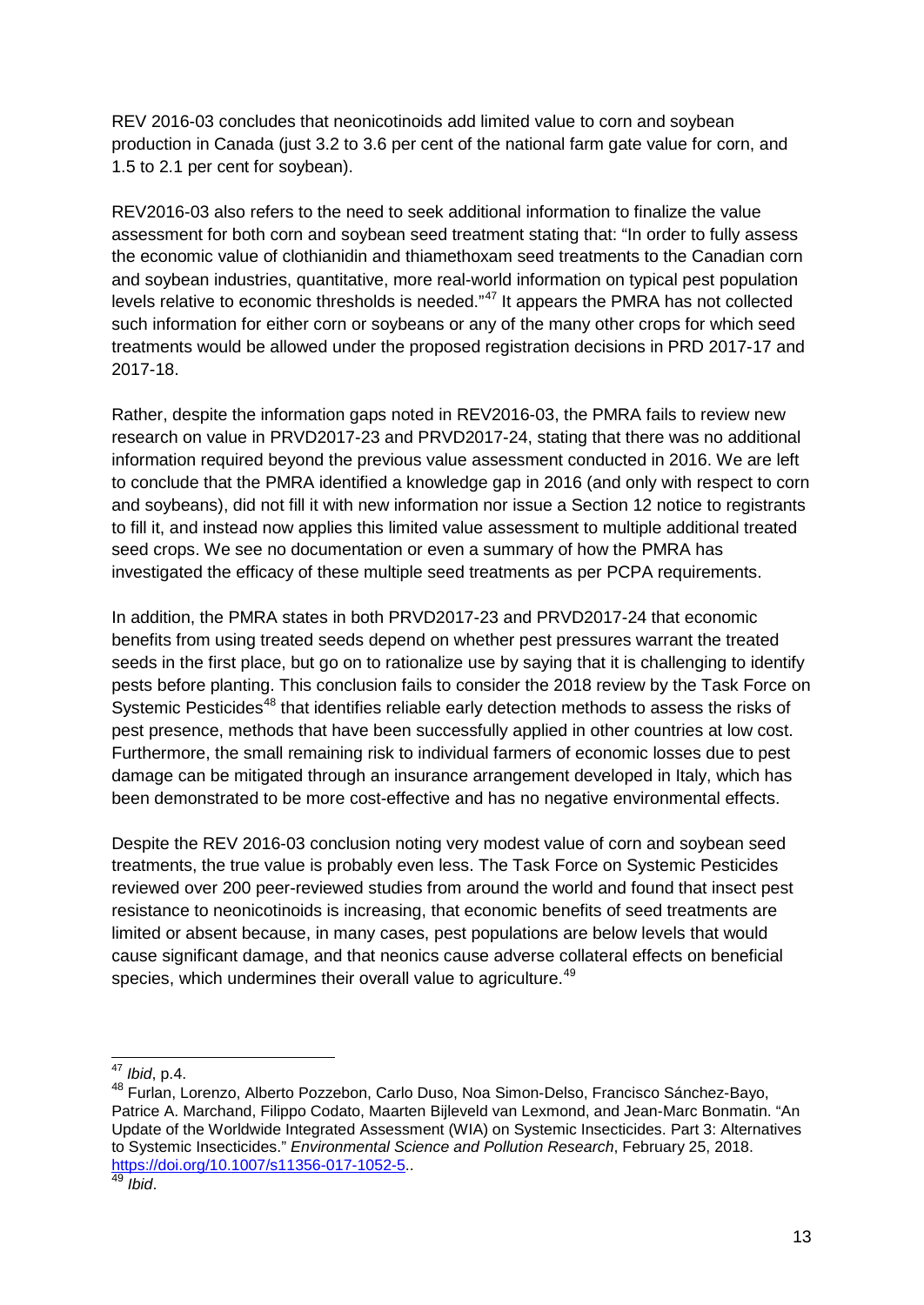REV 2016-03 concludes that neonicotinoids add limited value to corn and soybean production in Canada (just 3.2 to 3.6 per cent of the national farm gate value for corn, and 1.5 to 2.1 per cent for soybean).

REV2016-03 also refers to the need to seek additional information to finalize the value assessment for both corn and soybean seed treatment stating that: "In order to fully assess the economic value of clothianidin and thiamethoxam seed treatments to the Canadian corn and soybean industries, quantitative, more real-world information on typical pest population levels relative to economic thresholds is needed."[47](#page-12-0) It appears the PMRA has not collected such information for either corn or soybeans or any of the many other crops for which seed treatments would be allowed under the proposed registration decisions in PRD 2017-17 and 2017-18.

Rather, despite the information gaps noted in REV2016-03, the PMRA fails to review new research on value in PRVD2017-23 and PRVD2017-24, stating that there was no additional information required beyond the previous value assessment conducted in 2016. We are left to conclude that the PMRA identified a knowledge gap in 2016 (and only with respect to corn and soybeans), did not fill it with new information nor issue a Section 12 notice to registrants to fill it, and instead now applies this limited value assessment to multiple additional treated seed crops. We see no documentation or even a summary of how the PMRA has investigated the efficacy of these multiple seed treatments as per PCPA requirements.

In addition, the PMRA states in both PRVD2017-23 and PRVD2017-24 that economic benefits from using treated seeds depend on whether pest pressures warrant the treated seeds in the first place, but go on to rationalize use by saying that it is challenging to identify pests before planting. This conclusion fails to consider the 2018 review by the Task Force on Systemic Pesticides<sup>[48](#page-12-1)</sup> that identifies reliable early detection methods to assess the risks of pest presence, methods that have been successfully applied in other countries at low cost. Furthermore, the small remaining risk to individual farmers of economic losses due to pest damage can be mitigated through an insurance arrangement developed in Italy, which has been demonstrated to be more cost-effective and has no negative environmental effects.

Despite the REV 2016-03 conclusion noting very modest value of corn and soybean seed treatments, the true value is probably even less. The Task Force on Systemic Pesticides reviewed over 200 peer-reviewed studies from around the world and found that insect pest resistance to neonicotinoids is increasing, that economic benefits of seed treatments are limited or absent because, in many cases, pest populations are below levels that would cause significant damage, and that neonics cause adverse collateral effects on beneficial species, which undermines their overall value to agriculture.<sup>[49](#page-12-2)</sup>

<span id="page-12-0"></span> <sup>47</sup> *Ibid*, p.4.

<span id="page-12-1"></span><sup>48</sup> Furlan, Lorenzo, Alberto Pozzebon, Carlo Duso, Noa Simon-Delso, Francisco Sánchez-Bayo, Patrice A. Marchand, Filippo Codato, Maarten Bijleveld van Lexmond, and Jean-Marc Bonmatin. "An Update of the Worldwide Integrated Assessment (WIA) on Systemic Insecticides. Part 3: Alternatives to Systemic Insecticides." *Environmental Science and Pollution Research*, February 25, 2018. [https://doi.org/10.1007/s11356-017-1052-5.](https://doi.org/10.1007/s11356-017-1052-5). <sup>49</sup> *Ibid*.

<span id="page-12-2"></span>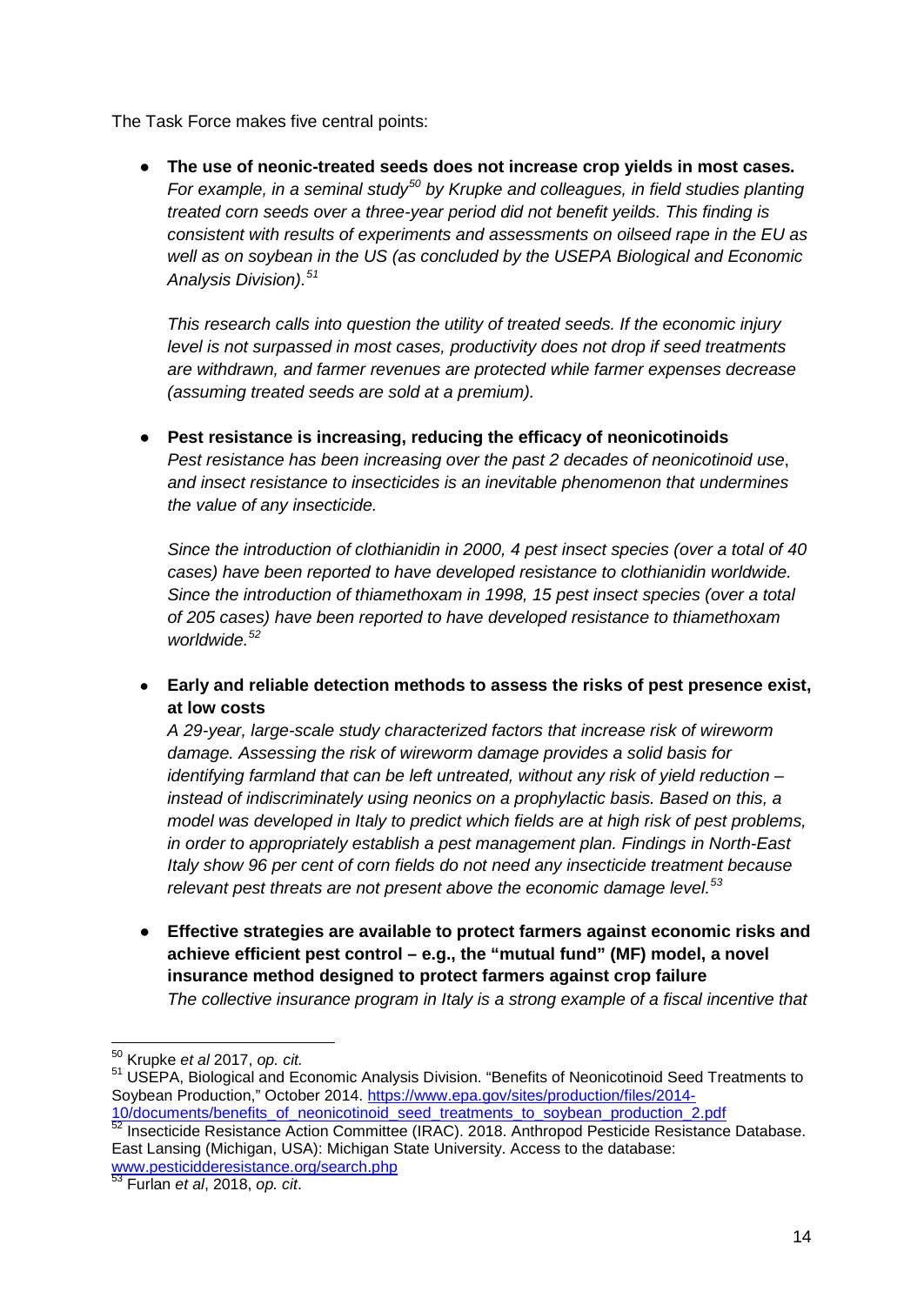The Task Force makes five central points:

● **The use of neonic-treated seeds does not increase crop yields in most cases.** *For example, in a seminal study[50](#page-13-0) by Krupke and colleagues, in field studies planting treated corn seeds over a three-year period did not benefit yeilds. This finding is consistent with results of experiments and assessments on oilseed rape in the EU as well as on soybean in the US (as concluded by the USEPA Biological and Economic Analysis Division).[51](#page-13-1)* 

*This research calls into question the utility of treated seeds. If the economic injury level is not surpassed in most cases, productivity does not drop if seed treatments are withdrawn, and farmer revenues are protected while farmer expenses decrease (assuming treated seeds are sold at a premium).*

● **Pest resistance is increasing, reducing the efficacy of neonicotinoids** *Pest resistance has been increasing over the past 2 decades of neonicotinoid use*, *and insect resistance to insecticides is an inevitable phenomenon that undermines the value of any insecticide.* 

*Since the introduction of clothianidin in 2000, 4 pest insect species (over a total of 40 cases) have been reported to have developed resistance to clothianidin worldwide. Since the introduction of thiamethoxam in 1998, 15 pest insect species (over a total of 205 cases) have been reported to have developed resistance to thiamethoxam worldwide. [52](#page-13-2)*

● **Early and reliable detection methods to assess the risks of pest presence exist, at low costs**

*A 29-year, large-scale study characterized factors that increase risk of wireworm damage. Assessing the risk of wireworm damage provides a solid basis for identifying farmland that can be left untreated, without any risk of yield reduction – instead of indiscriminately using neonics on a prophylactic basis. Based on this, a model was developed in Italy to predict which fields are at high risk of pest problems, in order to appropriately establish a pest management plan. Findings in North-East Italy show 96 per cent of corn fields do not need any insecticide treatment because relevant pest threats are not present above the economic damage level. [53](#page-13-3)*

● **Effective strategies are available to protect farmers against economic risks and achieve efficient pest control – e.g., the "mutual fund" (MF) model, a novel insurance method designed to protect farmers against crop failure** *The collective insurance program in Italy is a strong example of a fiscal incentive that* 

<span id="page-13-1"></span><span id="page-13-0"></span><sup>&</sup>lt;sup>50</sup> Krupke *et al* 2017, *op. cit.*<br><sup>51</sup> USEPA, Biological and Economic Analysis Division. "Benefits of Neonicotinoid Seed Treatments to Soybean Production," October 2014. [https://www.epa.gov/sites/production/files/2014-](https://www.epa.gov/sites/production/files/2014-10/documents/benefits_of_neonicotinoid_seed_treatments_to_soybean_production_2.pdf)

<span id="page-13-2"></span>[<sup>10/</sup>documents/benefits\\_of\\_neonicotinoid\\_seed\\_treatments\\_to\\_soybean\\_production\\_2.pdf](https://www.epa.gov/sites/production/files/2014-10/documents/benefits_of_neonicotinoid_seed_treatments_to_soybean_production_2.pdf)  $52$  Insecticide Resistance Action Committee (IRAC). 2018. Anthropod Pesticide Resistance Database. East Lansing (Michigan, USA): Michigan State University. Access to the database:

[www.pesticidderesistance.org/search.php](http://www.pesticidderesistance.org/search.php)

<span id="page-13-3"></span><sup>53</sup> Furlan *et al*, 2018, *op. cit*.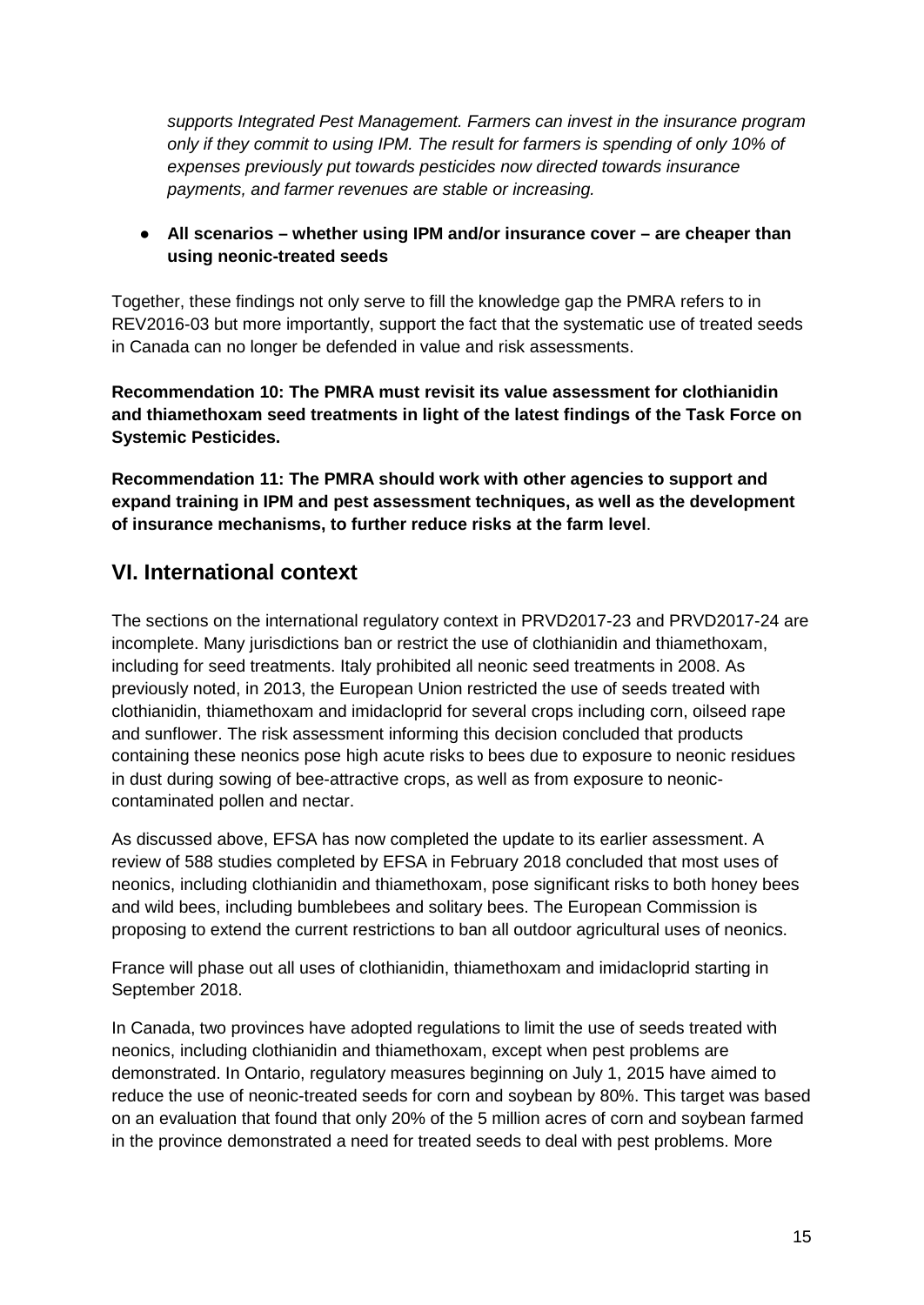*supports Integrated Pest Management. Farmers can invest in the insurance program only if they commit to using IPM. The result for farmers is spending of only 10% of expenses previously put towards pesticides now directed towards insurance payments, and farmer revenues are stable or increasing.*

### ● **All scenarios – whether using IPM and/or insurance cover – are cheaper than using neonic-treated seeds**

Together, these findings not only serve to fill the knowledge gap the PMRA refers to in REV2016-03 but more importantly, support the fact that the systematic use of treated seeds in Canada can no longer be defended in value and risk assessments.

**Recommendation 10: The PMRA must revisit its value assessment for clothianidin and thiamethoxam seed treatments in light of the latest findings of the Task Force on Systemic Pesticides.**

**Recommendation 11: The PMRA should work with other agencies to support and expand training in IPM and pest assessment techniques, as well as the development of insurance mechanisms, to further reduce risks at the farm level**.

# **VI. International context**

The sections on the international regulatory context in PRVD2017-23 and PRVD2017-24 are incomplete. Many jurisdictions ban or restrict the use of clothianidin and thiamethoxam, including for seed treatments. Italy prohibited all neonic seed treatments in 2008. As previously noted, in 2013, the European Union restricted the use of seeds treated with clothianidin, thiamethoxam and imidacloprid for several crops including corn, oilseed rape and sunflower. The risk assessment informing this decision concluded that products containing these neonics pose high acute risks to bees due to exposure to neonic residues in dust during sowing of bee-attractive crops, as well as from exposure to neoniccontaminated pollen and nectar.

As discussed above, EFSA has now completed the update to its earlier assessment. A review of 588 studies completed by EFSA in February 2018 concluded that most uses of neonics, including clothianidin and thiamethoxam, pose significant risks to both honey bees and wild bees, including bumblebees and solitary bees. The European Commission is proposing to extend the current restrictions to ban all outdoor agricultural uses of neonics.

France will phase out all uses of clothianidin, thiamethoxam and imidacloprid starting in September 2018.

In Canada, two provinces have adopted regulations to limit the use of seeds treated with neonics, including clothianidin and thiamethoxam, except when pest problems are demonstrated. In Ontario, regulatory measures beginning on July 1, 2015 have aimed to reduce the use of neonic-treated seeds for corn and soybean by 80%. This target was based on an evaluation that found that only 20% of the 5 million acres of corn and soybean farmed in the province demonstrated a need for treated seeds to deal with pest problems. More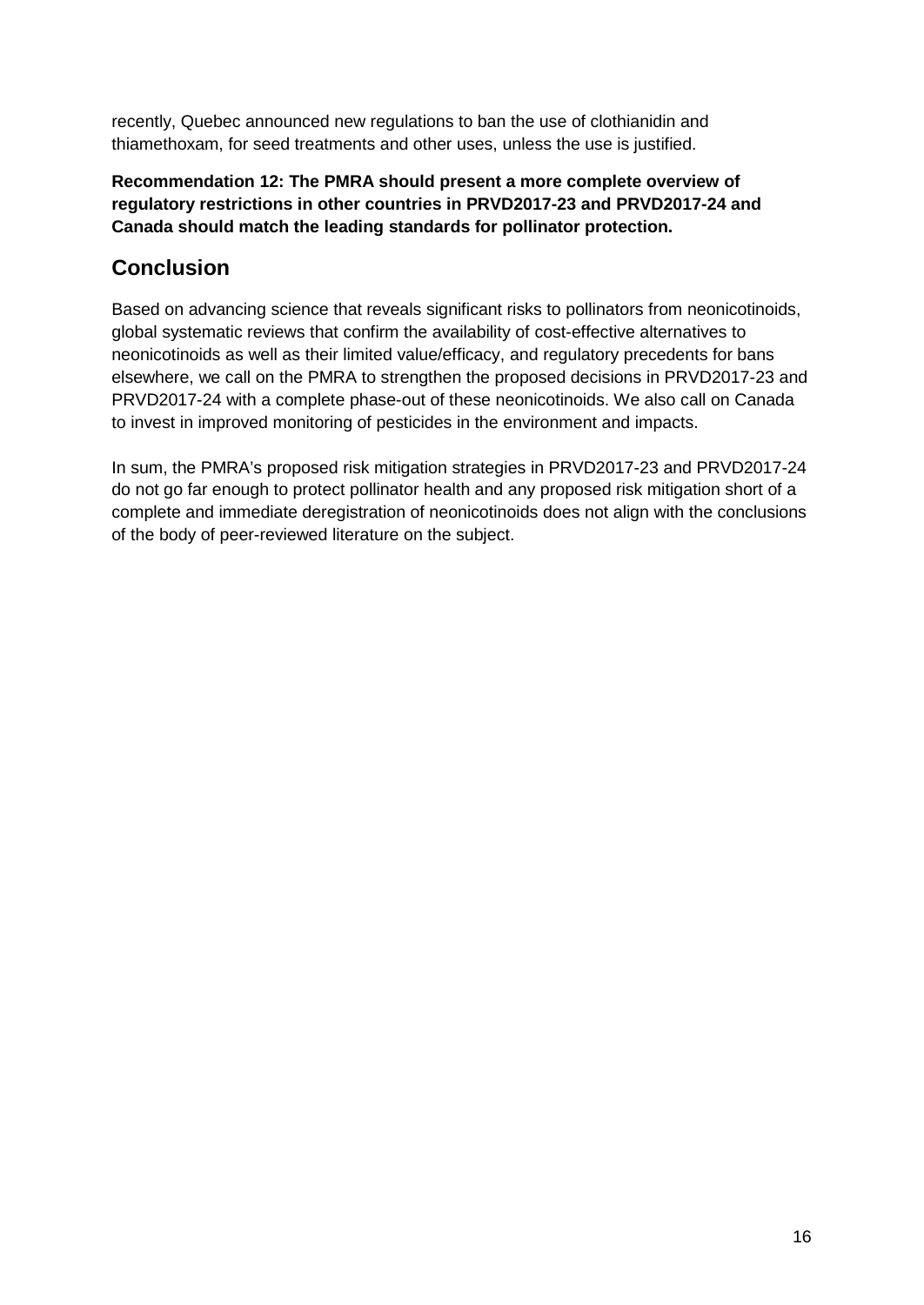recently, Quebec announced new regulations to ban the use of clothianidin and thiamethoxam, for seed treatments and other uses, unless the use is justified.

### **Recommendation 12: The PMRA should present a more complete overview of regulatory restrictions in other countries in PRVD2017-23 and PRVD2017-24 and Canada should match the leading standards for pollinator protection.**

# **Conclusion**

Based on advancing science that reveals significant risks to pollinators from neonicotinoids, global systematic reviews that confirm the availability of cost-effective alternatives to neonicotinoids as well as their limited value/efficacy, and regulatory precedents for bans elsewhere, we call on the PMRA to strengthen the proposed decisions in PRVD2017-23 and PRVD2017-24 with a complete phase-out of these neonicotinoids. We also call on Canada to invest in improved monitoring of pesticides in the environment and impacts.

In sum, the PMRA's proposed risk mitigation strategies in PRVD2017-23 and PRVD2017-24 do not go far enough to protect pollinator health and any proposed risk mitigation short of a complete and immediate deregistration of neonicotinoids does not align with the conclusions of the body of peer-reviewed literature on the subject.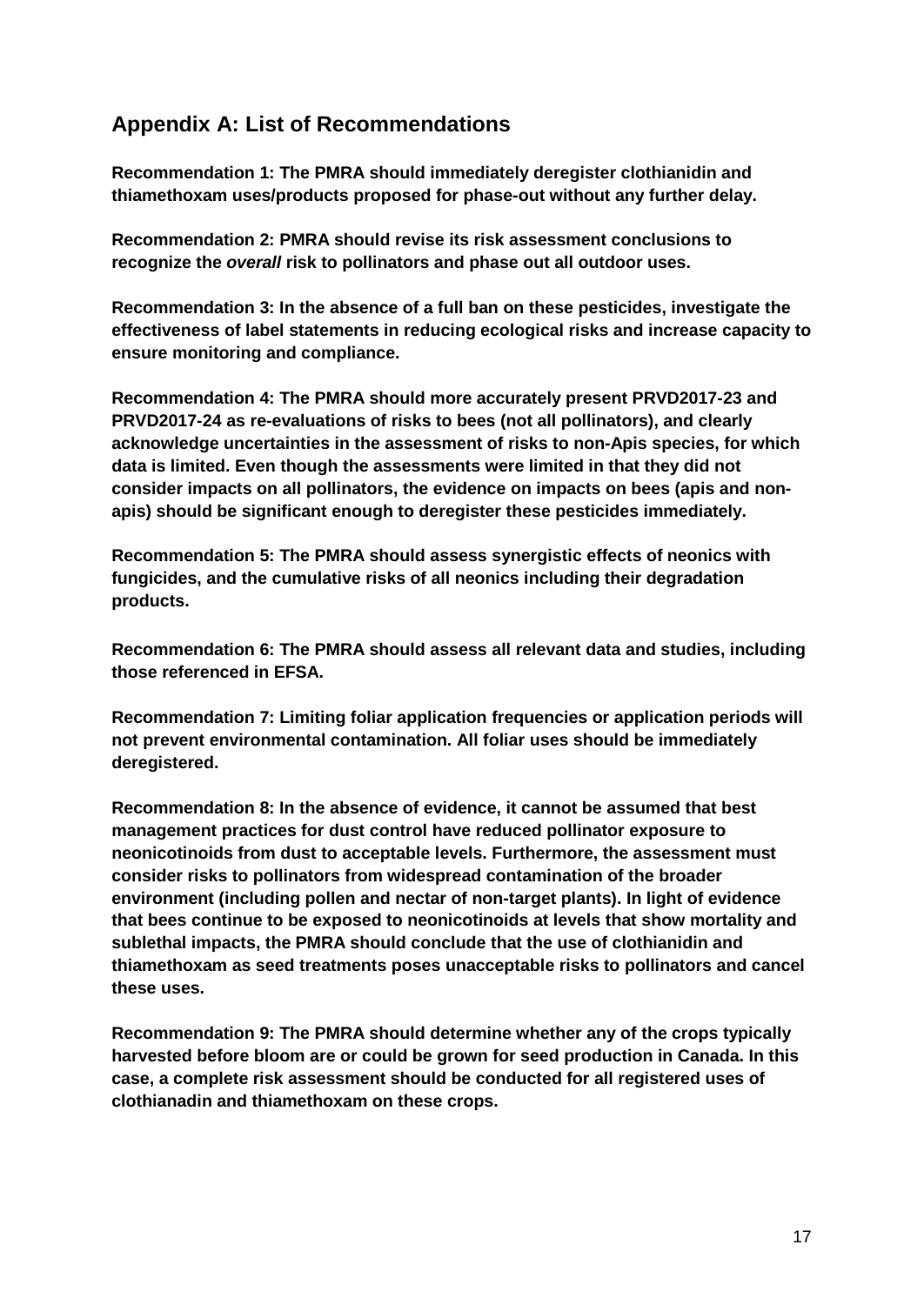# **Appendix A: List of Recommendations**

**Recommendation 1: The PMRA should immediately deregister clothianidin and thiamethoxam uses/products proposed for phase-out without any further delay.**

**Recommendation 2: PMRA should revise its risk assessment conclusions to recognize the** *overall* **risk to pollinators and phase out all outdoor uses.** 

**Recommendation 3: In the absence of a full ban on these pesticides, investigate the effectiveness of label statements in reducing ecological risks and increase capacity to ensure monitoring and compliance.**

**Recommendation 4: The PMRA should more accurately present PRVD2017-23 and PRVD2017-24 as re-evaluations of risks to bees (not all pollinators), and clearly acknowledge uncertainties in the assessment of risks to non-Apis species, for which data is limited. Even though the assessments were limited in that they did not consider impacts on all pollinators, the evidence on impacts on bees (apis and nonapis) should be significant enough to deregister these pesticides immediately.**

**Recommendation 5: The PMRA should assess synergistic effects of neonics with fungicides, and the cumulative risks of all neonics including their degradation products.** 

**Recommendation 6: The PMRA should assess all relevant data and studies, including those referenced in EFSA.**

**Recommendation 7: Limiting foliar application frequencies or application periods will not prevent environmental contamination. All foliar uses should be immediately deregistered.**

**Recommendation 8: In the absence of evidence, it cannot be assumed that best management practices for dust control have reduced pollinator exposure to neonicotinoids from dust to acceptable levels. Furthermore, the assessment must consider risks to pollinators from widespread contamination of the broader environment (including pollen and nectar of non-target plants). In light of evidence that bees continue to be exposed to neonicotinoids at levels that show mortality and sublethal impacts, the PMRA should conclude that the use of clothianidin and thiamethoxam as seed treatments poses unacceptable risks to pollinators and cancel these uses.**

**Recommendation 9: The PMRA should determine whether any of the crops typically harvested before bloom are or could be grown for seed production in Canada. In this case, a complete risk assessment should be conducted for all registered uses of clothianadin and thiamethoxam on these crops.**